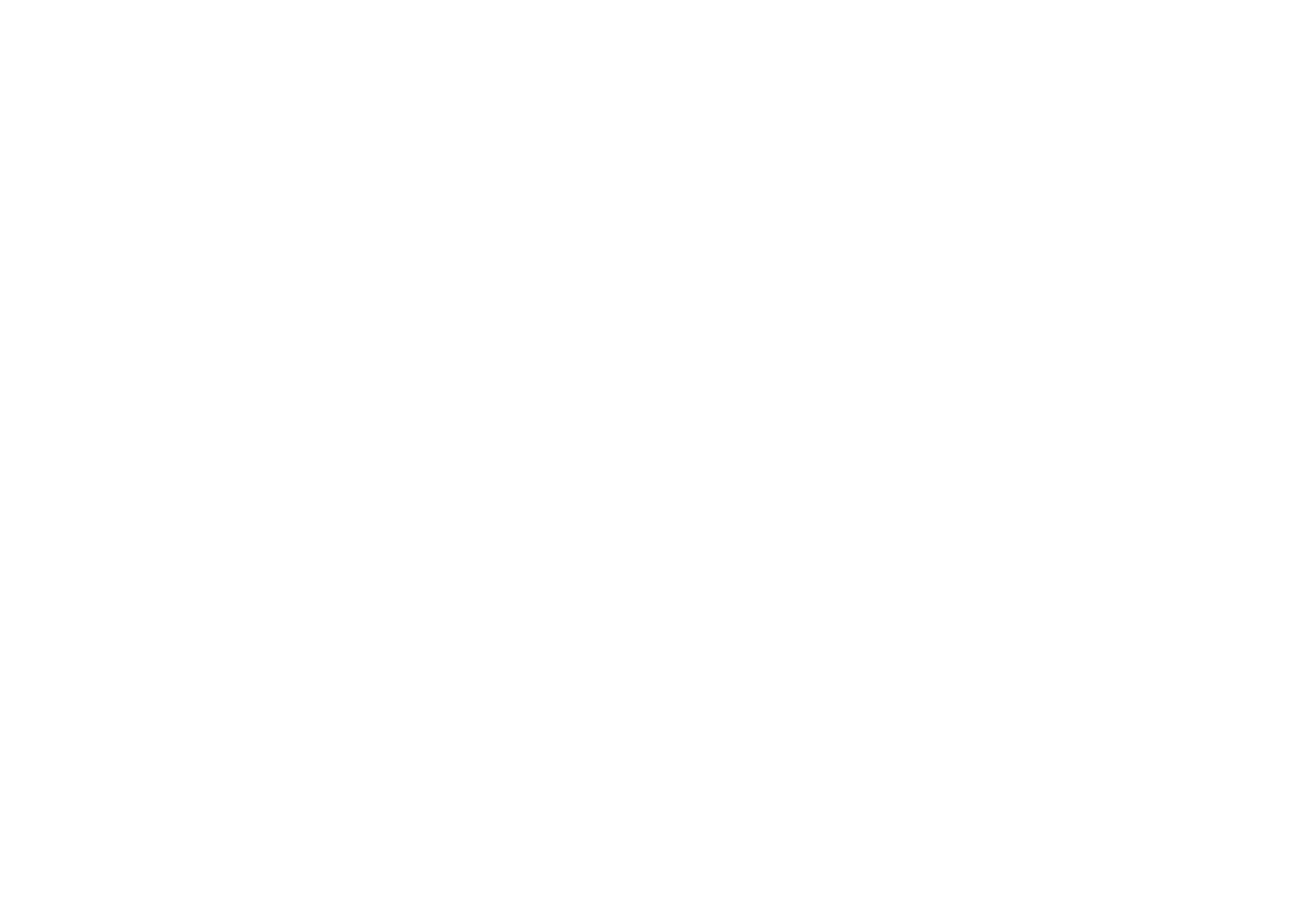# **PÓŁMARATON CHRZĄSZCZA**

Organizator: Fundacja na Ratunek<br>Data: 2022-01-08  $2022 - 01 - 08$ Miejsce: Szczebrzeszyn Dystans: 18 km Klasyfikacja wg czasów brutto.





| M-ce | Nazwisko i imię           | Nr   | <b>Klub</b>                   | M-scowość         | <b>Kraj</b> | Kat.                  | M. kat                  | K/M            | 3 <sub>km</sub> | 9km      | <b>Netto</b>                       | <b>Brutto</b>            | min/km | km/h |
|------|---------------------------|------|-------------------------------|-------------------|-------------|-----------------------|-------------------------|----------------|-----------------|----------|------------------------------------|--------------------------|--------|------|
|      | 1 LIPIŃSKI TOMASZ         |      | 2058 IMPLOZIA CHEŁM           | CHEŁM             | POL         | SENIOR MEŻCZYZN       | 1                       | M <sub>1</sub> | 00:14:28        |          |                                    | 01:34:32.70 01:34:35.40  | 5:15   | 11.4 |
|      | 2 SŁOWIŃSKI MARCIN        | 2099 | BIEGACZE SPECJALNEJ TROSKI    | WARSZAWA          | POL         | MASTER MEZCZYZN       | $\mathbf{1}$            | M <sub>2</sub> | 00:14:28        |          |                                    | 01:34:32.90 01:34:35.95  | 5:15   | 11.4 |
|      | 3 ANTONCZAK MAREK         | 2003 |                               | ŻÓŁKIEWKA         | POL         | MASTER MEZCZYZN       | 2                       | M <sub>3</sub> | 00:14:51        |          | 00:47:39 01:35:08.60 01:35:12.50   |                          | 5:17   | 11.4 |
|      | 4 WÓJCIK ŁUKASZ           | 5060 | SZYBCIEJ NIE DAM RADY         | <b>NIEMCE</b>     | POL         | MASTER MEZCZYZN       | 3                       | M 4            | 00:15:24        |          | 00:48:47 01:36:37.75 01:36:42.85   |                          | 5:22   | 11.2 |
|      | 5 JARGIŁO KRYSTIAN        | 2033 |                               | <b>KOCUDZA</b>    | POL         | SENIOR MEZCZYZN       | 2                       | M 5            | 00:15:02        |          |                                    | 01:38:43.70 01:38:48.00  | 5:29   | 10.9 |
|      | 6 JAKUSZKO GRZEGORZ       |      | 2031 KB SZURACZ TERESPOL      | <b>TERESPOL</b>   | POL         | MASTER MEZCZYZN       | $\overline{4}$          | M 6            | 00:15:52        |          |                                    | 01:39:04.40 01:39:09.85  | 5:30   | 10.9 |
|      | 7 TUTKA DOMINIK           |      | 2114 BIŁGORAJ BIEGA           | <b>BIŁGORAI</b>   | POL         | MASTER MEZCZYZN       | 5                       | M 7            | 00:16:11        |          |                                    | 01:39:13.05 01:39:16.00  | 5:30   | 10.9 |
|      | 8 MACIAG GRZEGORZ         | 2063 |                               | <b>RZESZÓW</b>    | POL         | MASTER MEŻCZYZN       | 6                       | M 8            | 00:16:12        |          |                                    | 01:40:05.25 01:40:14.65  | 5:33   | 10.8 |
|      | 9 MOŻEJKO ARTUR           |      | 12 NIEPOLOMICE BIEGAIA        | NIEPOŁOMICE       | POL         | MASTER MEŻCZYZN       | $7^{\circ}$             | M 9            | 00:16:06        |          | 00:51:59 01:41:01.30 01:41:08.95   |                          | 5:36   | 10.7 |
|      | 10 ROGALA MARCIN          | 2091 | IM INSPIRATION                | SZCZEBRZESZYN     | POL         | SENIOR MEŻCZYZN       | $\overline{3}$          | M 10           | 00:16:19        |          |                                    | 01:41:18.60 01:41:23.00  | 5:37   | 10.7 |
|      | 11 MIAZGA JANUSZ          | 2076 |                               | ZAMOŚĆ            | POL         | WETERAN MEŻCZYZN      | 1                       | M 11           | 00:14:31        |          | 00:50:13 01:43:02.15 01:43:05.20   |                          | 5:43   | 10.5 |
|      | 12 GRZĄDKA PRZEMYSŁAW     |      | 2024 PZU SPORT TEAM           | WARSZAWA          | POL         | MASTER MEZCZYZN       | 8                       | M 12           | 00:15:46        |          |                                    | 01:43:10.05  01:43:14.05 | 5:43   | 10.5 |
|      | 13 WILKOS KAMIL           | 2120 |                               | <b>NIEMCE</b>     | POL         | SENIOR MEZCZYZN       | 4                       | M 13           | 00:15:51        |          |                                    | 01:43:49.20 01:43:55.10  | 5:46   | 10.4 |
|      | 14 KOŁAKOWSKI PRZEMEK     |      | 2039 ROZBIEGANY ZAMOŚĆ        | ZAMOŚĆ            | POL         | MASTER MEZCZYZN       | 9                       | M 14           | 00:16:02        |          | 00:52:17 01:46:58.70 01:47:08.40   |                          | 5:56   | 10.1 |
|      | 15 PŁUCIENNICZAK WOJCIECH | 2086 |                               | LATCHORZEW        | POL         | MASTER MEŻCZYZN       | 10                      | M 15           | 00:16:34        |          | 00:54:10 01:47:09.35 01:47:13.75   |                          | 5:57   | 10.1 |
|      | 16 GUŁAS DANIEL           |      | 2026 SAMSOBIEKLUB             | <b>LUBLIN</b>     | POL         | MASTER MEZCZYZN       | 11                      | M 16           | 00:16:46        |          | 00:53:52 01:47:02.50 01:47:18.95   |                          | 5:56   | 10.1 |
|      | 17 MAZUR TOMASZ           |      | 2071 FARTREK                  | GORZYCE           | POL         | SENIOR MEŻCZYZN       | 5 <sup>5</sup>          | M 17           | 00:14:28        |          |                                    | 01:47:42.55 01:47:46.75  | 5:59   | 10   |
|      | 18 WAGNER TOMASZ          |      | 39 TOMASZOWSKA GRUPA BIEGOWA  | <b>BEŁŻEC</b>     | POL         | MASTER MEZCZYZN       | 12                      | M 18           | 00:16:58        |          | 00:53:33 01:47:59.60 01:48:02.00   |                          | 5:59   | 10   |
|      | 19 SZKODA ROBERT          |      | 2108 BUT BIŁGORAJ ULTRA TRAIL | <b>BIŁGORAJ</b>   | <b>POL</b>  | MASTER MEŻCZYZN       | 13                      | M 19           | 00:16:23        |          | 00:53:04  01:48:21.90  01:48:24.65 |                          | 6:01   | 10   |
|      | 20 WIECZOREK MARCIN       | 2117 |                               | <b>MILEJÓW</b>    | POL         | MASTER MEZCZYZN       | 14                      | M 20           | 00:17:02        |          | 00:54:19 01:49:32.35 01:49:35.95   |                          | 6:05   | 9.9  |
|      | 21 ORYSZCZAK BARTŁOMIEJ   |      | 2083 MTB ROZTOCZE             | JÓZEFÓWKA         | POL         | MASTER MEŻCZYZN       | 15                      | M 21           | 00:16:02        |          | 00:54:40 01:49:53.55 01:49:56.55   |                          | 6:06   | 9.8  |
|      | 22 RAWSKA MARTA           | 38   |                               | LUBACZÓW          | POL         | <b>SENIOR KOBIET</b>  | 1                       | K <sub>1</sub> | 00:16:14        |          | 00:53:20 01:50:26.30 01:50:33.75   |                          | 6:08   | 9.8  |
|      | 23 RYCAK ANDRZEJ          |      | 2095 NJN SABAUDY              | SABAUDIA          | POL         | WETERAN MEZCZYZN      | $\overline{2}$          | M 22           | 00:17:04        |          |                                    | 01:52:15.45 01:52:23.75  | 6:14   | 9.6  |
|      | 24 KORŻYK MAREK           | 2041 |                               | <b>CZARNA</b>     | POL         | WETERAN MEŻCZYZN      | $\overline{\mathbf{3}}$ | M 23           | 00:16:46        |          | 00:54:43 01:52:52.50 01:53:02.80   |                          | 6:16   | 9.6  |
|      | 25 KOZAK MARCIN           | 2045 |                               | LUBLIN            | POL         | MASTER MEZCZYZN       | 16                      | M 24           | 00:18:18        |          | 00:56:59 01:53:16.95 01:53:24.20   |                          | 6:17   | 9.5  |
|      | 26 MALISZEWSKI BARTŁOMIEJ |      | 2066 #NOLIMITS RUNNING TEAM   | ŁECZNA            | POL         | SENIOR MEZCZYZN       | 6                       | M 25           | 00:17:05        |          |                                    | 01:54:09.60 01:54:15.95  | 6:20   | 9.5  |
|      | 27 DOBROWOLSKI PIOTR      | 2012 |                               | LUBLIN            | <b>POL</b>  | WETERAN MEŻCZYZN      | $\overline{4}$          | M 26           | 00:16:22        |          | 00:55:02 01:54:28.35 01:54:33.30   |                          | 6:21   | 9.4  |
|      | 28 MAŁKA MARTA            | 2068 | TOMASZOWSKA GRUPA BIEGOWA     | TOMASZÓW LUBELSKI | POL         | <b>SENIOR KOBIET</b>  | $\overline{2}$          | K <sub>2</sub> | 00:17:03        |          |                                    | 01:54:47.05 01:54:51.35  | 6:22   | 9.4  |
|      | 29 SZEGDA ŁUKASZ          |      | 2107 GARDONIE 279             | <b>PUŁAWY</b>     | POL         | MASTER MEZCZYZN       | 17                      | M 27           | 00:17:17        |          |                                    | 01:54:54.30 01:55:01.00  | 6:23   | 9.4  |
|      | 30 KWIECIEŃ SEBASTIAN     | 20   |                               | <b>LUBLIN</b>     | POL         | MASTER MEZCZYZN       | 18                      | M 28           | 00:18:26        |          | 00:57:10 01:55:02.50 01:55:09.75   |                          | 6:23   | 9.4  |
|      | 31 SUŁEK MARCIN           | 575  |                               |                   | POL         | MASTER MEZCZYZN       | 19                      | M 29           | 00:16:56        |          |                                    | 01:56:18.20 01:56:22.85  | 6:27   | 9.3  |
|      | 32 LIBRONT JAKUB          | 2057 | KLECZAŃSKA GRUPA BIEGOWA      | <b>KLECZANY</b>   | POL         | SENIOR MEZCZYZN       | $7^{\circ}$             | M 30           | 00:19:01        |          | 00:59:08 01:56:17.60 01:56:29.15   |                          | 6:27   | 9.3  |
|      | 33 ZIMNY WITOLD           | 2132 |                               | ŁAŃCUT            | POL         | MASTER MEZCZYZN       | 20                      | M 31           | 00:17:27        |          |                                    | 01:56:41.25 01:56:48.80  | 6:28   | 9.3  |
|      | 34 ADAMCZYK MARIUSZ       | 23   |                               | BORZECHÓW KOLONIA | POL         | WETERAN MEŻCZYZN      | 5                       | M 32           | 00:18:09        |          |                                    | 01:56:54.15 01:57:07.05  | 6:29   | 9.2  |
|      | 35 STACH JACEK            | 2100 |                               | <b>OLCHOWA</b>    | POL         | WETERAN MEŻCZYZN      | 6                       | M 33           | 00:17:41        |          |                                    | 01:57:26.15 01:57:26.15  | 6:31   | 9.2  |
|      | 36 SULOWSKI WŁADYSŁAW     | 2101 |                               | <b>MARYSIN</b>    | POL         | DINOZAUR MĘŻCZYZN 1   |                         | M 34           | 00:16:52        |          |                                    | 01:57:22.30 01:57:28.50  | 6:31   | 9.2  |
|      | 37 ŚLIWA ANNA             | 2109 | TOMASZOWSKA GRUPA BIEGOWA     | ŁASZCZÓWKA        | <b>POL</b>  | <b>MASTER KOBIET</b>  | 1                       | K3             | 00:17:16        |          | 00:57:07 01:57:50.20 01:57:52.60   |                          | 6:32   | 9.2  |
|      | 38 KUZIOŁA IWONA          |      | 2052 #NOLIMITS                | <b>LUBLIN</b>     | POL         | <b>WETERAN KOBIET</b> | $\mathbf{1}$            | K4             | 00:17:25        |          | 00:58:07 01:58:54.85 01:59:01.40   |                          | 6:36   | 9.1  |
|      | 39 KORZENIOWSKI DAMIAN    | 2040 |                               | <b>REJOWIEC</b>   | POL         | MASTER MEZCZYZN       | 21                      | M 35           | 00:16:16        |          | 00:54:57 01:59:09.80 01:59:13.10   |                          | 6:37   | 9.1  |
|      | 40 ŁACZNY MARCIN          | 2060 |                               | <b>LUBLIN</b>     | POL         | MASTER MEZCZYZN       | 22                      | M 36           | 00:16:58        |          | 00:57:37 01:59:30.90 01:59:37.45   |                          | 6:38   | 9    |
|      | 41 WŁODARCZYK MICHAŁ      | 2123 | <b>LUBELSKI BIEGACZ TEAM</b>  | WARSZAWA          | POL         | SENIOR MEŻCZYZN       | 8                       | M 37           | 00:16:17        |          | 00:53:56 01:59:38.25 01:59:42.35   |                          | 6:38   | 9    |
|      | 42 KUZIOŁA GRZEGORZ       |      | 2053 #NOLIMITS                | <b>LUBLIN</b>     | POL         | WETERAN MĘŻCZYZN      | $7^{\circ}$             | M 38           | 00:17:34        | 00:59:10 | 02:00:49.10 02:00:55.60            |                          | 6:42   | 8.9  |
|      | 43 IWANICKI WŁADYSŁAW     |      | 2027 LW.BOGDANKA              | ŁĘCZNA            | POL         | DINOZAUR MĘŻCZYZN     | $\overline{2}$          | M 39           | 00:18:13        |          | 00:59:35 02:01:35.45 02:01:43.60   |                          | 6:45   | 8.9  |
|      | 44 GRZĄDKA ANNA           | 2025 |                               | WARSZAWA          | POL         | <b>MASTER KOBIET</b>  | $\overline{2}$          | K <sub>5</sub> | 00:18:24        |          | 00:59:45 02:01:44.85 02:01:48.75   |                          | 6:45   | 8.9  |
|      | 45 ZAREBSKI KRZYSZTOF     | 26   |                               | <b>KRASNYSTAW</b> | POL         | SENIOR MEZCZYZN       | 9                       | M 40           | 00:18:59        |          | 02:01:59.65 02:02:08.65            |                          | 6:46   | 8.9  |
|      |                           |      |                               |                   |             |                       |                         |                |                 |          |                                    |                          |        |      |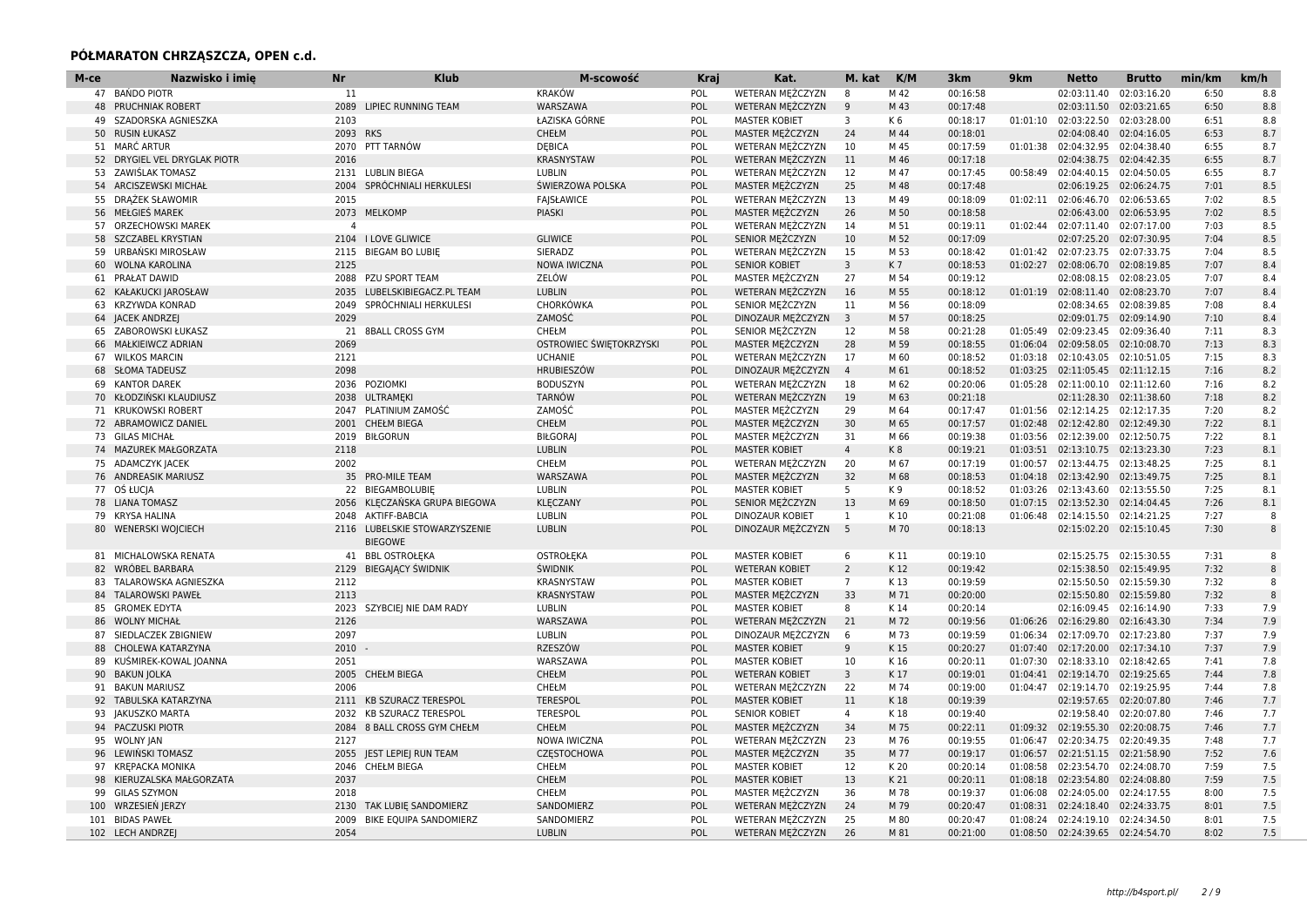### **PÓŁMARATON CHRZĄSZCZA, OPEN c.d.**

| M-ce | Nazwisko i imię              | Nr             | <b>Klub</b>                   | M-scowość               | Kraj | Kat.                   | M. kat                  | K/M  | 3km      | 9 <sub>km</sub> | <b>Netto</b>                       | <b>Brutto</b> | min/km | km/h |
|------|------------------------------|----------------|-------------------------------|-------------------------|------|------------------------|-------------------------|------|----------|-----------------|------------------------------------|---------------|--------|------|
|      | 47 BANDO PIOTR               | 11             |                               | <b>KRAKÓW</b>           | POL  | WETERAN MEŻCZYZN       | 8                       | M 42 | 00:16:58 |                 | 02:03:11.40                        | 02:03:16.20   | 6:50   | 8.8  |
| 48   | PRUCHNIAK ROBERT             |                | 2089 LIPIEC RUNNING TEAM      | WARSZAWA                | POL  | WETERAN MĘŻCZYZN       | q                       | M 43 | 00:17:48 |                 | 02:03:11.50                        | 02:03:21.65   | 6:50   | 8.8  |
| 49   | SZADORSKA AGNIESZKA          | 2103           |                               | ŁAZISKA GÓRNE           | POL  | <b>MASTER KOBIET</b>   | $\overline{\mathbf{3}}$ | K6   | 00:18:17 | 01:01:10        | 02:03:22.50                        | 02:03:28.00   | 6:51   | 8.8  |
|      | 50 RUSIN ŁUKASZ              | 2093 RKS       |                               | CHEŁM                   | POL  | MASTER MEŻCZYZN        | 24                      | M 44 | 00:18:01 |                 | 02:04:08.40                        | 02:04:16.05   | 6:53   | 8.7  |
|      | 51 MARC ARTUR                |                | 2070 PTT TARNÓW               | <b>DEBICA</b>           | POL  | WETERAN MEZCZYZN       | 10                      | M 45 | 00:17:59 |                 | 01:01:38 02:04:32.95 02:04:38.40   |               | 6:55   | 8.7  |
|      | 52 DRYGIEL VEL DRYGLAK PIOTR | 2016           |                               | <b>KRASNYSTAW</b>       | POL  | WETERAN MEZCZYZN       | 11                      | M 46 | 00:17:18 |                 | 02:04:38.75 02:04:42.35            |               | 6:55   | 8.7  |
| 53   | ZAWIŚLAK TOMASZ              | 2131           | LUBLIN BIEGA                  | <b>LUBLIN</b>           | POL  | WETERAN MEZCZYZN       | 12                      | M 47 | 00:17:45 | 00:58:49        | 02:04:40.15                        | 02:04:50.05   | 6:55   | 8.7  |
|      | 54 ARCISZEWSKI MICHAŁ        |                | 2004 SPRÓCHNIALI HERKULESI    | ŚWIERZOWA POLSKA        | POL  | MASTER MEŻCZYZN        | 25                      | M 48 | 00:17:48 |                 | 02:06:19.25 02:06:24.75            |               | 7:01   | 8.5  |
|      | 55 DRAZEK SŁAWOMIR           | 2015           |                               | FAJSŁAWICE              | POL  | WETERAN MĘŻCZYZN       | 13                      | M 49 | 00:18:09 |                 | 01:02:11 02:06:46.70 02:06:53.65   |               | 7:02   | 8.5  |
| 56   | MEŁGIEŚ MAREK                | 2073           | <b>MELKOMP</b>                | <b>PIASKI</b>           | POL  | MASTER MEŻCZYZN        | 26                      | M 50 | 00:18:58 |                 | 02:06:43.00                        | 02:06:53.95   | 7:02   | 8.5  |
| 57   | <b>ORZECHOWSKI MAREK</b>     | $\overline{4}$ |                               |                         | POL  | WETERAN MEZCZYZN       | 14                      | M 51 | 00:19:11 |                 | 01:02:44 02:07:11.40               | 02:07:17.00   | 7:03   | 8.5  |
| 58   | <b>SZCZABEL KRYSTIAN</b>     |                | 2104 I LOVE GLIWICE           | <b>GLIWICE</b>          | POL  | SENIOR MEŻCZYZN        | 10                      | M 52 | 00:17:09 |                 | 02:07:25.20                        | 02:07:30.95   | 7:04   | 8.5  |
| 59   | URBAŃSKI MIROSŁAW            | 2115           | <b>BIEGAM BO LUBIE</b>        | <b>SIERADZ</b>          | POL  | WETERAN MEZCZYZN       | 15                      | M 53 | 00:18:42 |                 | 01:01:42 02:07:23.75 02:07:33.75   |               | 7:04   | 8.5  |
| 60   | <b>WOLNA KAROLINA</b>        | 2125           |                               | <b>NOWA IWICZNA</b>     | POL  | <b>SENIOR KOBIET</b>   | $\overline{3}$          | K7   | 00:18:53 | 01:02:27        | 02:08:06.70                        | 02:08:19.85   | 7:07   | 8.4  |
|      | 61 PRAŁAT DAWID              |                | 2088 PZU SPORT TEAM           | ZELÓW                   | POL  | MASTER MEZCZYZN        | 27                      | M 54 | 00:19:12 |                 | 02:08:08.15 02:08:23.05            |               | 7:07   | 8.4  |
| 62   | KAŁAKUCKI JAROSŁAW           | 2035           | LUBELSKIBIEGACZ.PL TEAM       | <b>LUBLIN</b>           | POL  | WETERAN MĘŻCZYZN       | 16                      | M 55 | 00:18:12 |                 | 01:01:19  02:08:11.40  02:08:23.70 |               | 7:07   | 8.4  |
| 63   | <b>KRZYWDA KONRAD</b>        | 2049           | SPRÓCHNIALI HERKULESI         | CHORKÓWKA               | POL  | SENIOR MĘŻCZYZN        | 11                      | M 56 | 00:18:09 |                 | 02:08:34.65                        | 02:08:39.85   | 7:08   | 8.4  |
| 64   | <b>JACEK ANDRZEJ</b>         | 2029           |                               | ZAMOŚĆ                  | POL  | DINOZAUR MĘŻCZYZN      | $\overline{3}$          | M 57 | 00:18:25 |                 | 02:09:01.75 02:09:14.90            |               | 7:10   | 8.4  |
| 65   | ZABOROWSKI ŁUKASZ            |                | 21 8BALL CROSS GYM            | <b>CHEŁM</b>            | POL  | SENIOR MEZCZYZN        | 12                      | M 58 | 00:21:28 |                 | 01:05:49 02:09:23.45               | 02:09:36.40   | 7:11   | 8.3  |
| 66   | MAŁKIEIWCZ ADRIAN            | 2069           |                               | OSTROWIEC ŚWIETOKRZYSKI | POL  | MASTER MEZCZYZN        | 28                      | M 59 | 00:18:55 |                 | 01:06:04 02:09:58.05 02:10:08.70   |               | 7:13   | 8.3  |
| 67   | <b>WILKOS MARCIN</b>         | 2121           |                               | <b>UCHANIE</b>          | POL  | WETERAN MĘŻCZYZN       | 17                      | M 60 | 00:18:52 |                 | 01:03:18 02:10:43.05               | 02:10:51.05   | 7:15   | 8.3  |
| 68   | <b>SŁOMA TADEUSZ</b>         | 2098           |                               | <b>HRUBIESZÓW</b>       | POL  | DINOZAUR MEŻCZYZN      | $\overline{4}$          | M 61 | 00:18:52 |                 | 01:03:25 02:11:05.45 02:11:12.15   |               | 7:16   | 8.2  |
|      | 69 KANTOR DAREK              | 2036           | POZIOMKI                      | <b>BODUSZYN</b>         | POL  | WETERAN MEZCZYZN       | 18                      | M 62 | 00:20:06 |                 | 01:05:28 02:11:00.10 02:11:12.60   |               | 7:16   | 8.2  |
| 70   | KŁODZIŃSKI KLAUDIUSZ         | 2038           | ULTRAMEKI                     | <b>TARNÓW</b>           | POL  | WETERAN MEZCZYZN       | 19                      | M 63 | 00:21:18 |                 | 02:11:28.30 02:11:38.60            |               | 7:18   | 8.2  |
|      | 71 KRUKOWSKI ROBERT          | 2047           | PLATINIUM ZAMOŚĆ              | ZAMOŚĆ                  | POL  | MASTER MEZCZYZN        | 29                      | M 64 | 00:17:47 |                 | 01:01:56 02:12:14.25 02:12:17.35   |               | 7:20   | 8.2  |
|      | 72 ABRAMOWICZ DANIEL         |                | 2001 CHEŁM BIEGA              | <b>CHEŁM</b>            | POL  | MASTER MEZCZYZN        | 30                      | M 65 | 00:17:57 |                 | 01:02:48 02:12:42.80 02:12:49.30   |               | 7:22   | 8.1  |
|      | 73 GILAS MICHAŁ              | 2019           | <b>BIŁGORUN</b>               | <b>BIŁGORAJ</b>         | POL  | MASTER MEZCZYZN        | 31                      | M 66 | 00:19:38 |                 | 01:03:56 02:12:39.00 02:12:50.75   |               | 7:22   | 8.1  |
|      | 74 MAZUREK MAŁGORZATA        | 2118           |                               | <b>LUBLIN</b>           | POL  | <b>MASTER KOBIET</b>   | $\overline{4}$          | K8   | 00:19:21 |                 | 01:03:51 02:13:10.75 02:13:23.30   |               | 7:23   | 8.1  |
| 75   | <b>ADAMCZYK JACEK</b>        | 2002           |                               | CHEŁM                   | POL  | WETERAN MEZCZYZN       | 20                      | M 67 | 00:17:19 | 01:00:57        | 02:13:44.75 02:13:48.25            |               | 7:25   | 8.1  |
|      | 76 ANDREASIK MARIUSZ         |                | 35 PRO-MILE TEAM              | WARSZAWA                | POL  | MASTER MĘŻCZYZN        | 32                      | M 68 | 00:18:53 |                 | 01:04:18 02:13:42.90               | 02:13:49.75   | 7:25   | 8.1  |
| 77   | OŚ ŁUCJA                     | 22             | BIEGAMBOLUBIE                 | LUBLIN                  | POL  | <b>MASTER KOBIET</b>   | 5                       | K9   | 00:18:52 |                 | 01:03:26 02:13:43.60               | 02:13:55.50   | 7:25   | 8.1  |
| 78   | <b>LIANA TOMASZ</b>          | 2056           | KLECZAŃSKA GRUPA BIEGOWA      | <b>KLECZANY</b>         | POL  | SENIOR MEZCZYZN        | 13                      | M 69 | 00:18:50 |                 | 01:07:15 02:13:52.30               | 02:14:04.45   | 7:26   | 8.1  |
| 79   | KRYSA HALINA                 |                | 2048 AKTIFF-BABCIA            | LUBLIN                  | POL  | <b>DINOZAUR KOBIET</b> | 1                       | K10  | 00:21:08 |                 | 01:06:48 02:14:15.50               | 02:14:21.25   | 7:27   | 8    |
|      | 80 WENERSKI WOJCIECH         |                | 2116 LUBELSKIE STOWARZYSZENIE | <b>LUBLIN</b>           | POL  | DINOZAUR MĘŻCZYZN 5    |                         | M 70 | 00:18:13 |                 | 02:15:02.20 02:15:10.45            |               | 7:30   | 8    |
|      |                              |                | <b>BIEGOWE</b>                |                         |      |                        |                         |      |          |                 |                                    |               |        |      |
| 81   | MICHALOWSKA RENATA           |                | 41 BBL OSTROŁĘKA              | OSTROŁĘKA               | POL  | <b>MASTER KOBIET</b>   | 6                       | K 11 | 00:19:10 |                 | 02:15:25.75 02:15:30.55            |               | 7:31   | 8    |
|      | 82 WROBEL BARBARA            | 2129           | <b>BIEGAIACY ŚWIDNIK</b>      | <b>ŚWIDNIK</b>          | POL  | <b>WETERAN KOBIET</b>  | $\overline{2}$          | K12  | 00:19:42 |                 | 02:15:38.50 02:15:49.95            |               | 7:32   | 8    |
| 83   | TALAROWSKA AGNIESZKA         | 2112           |                               | KRASNYSTAW              | POL  | MASTER KOBIET          | $7^{\circ}$             | K13  | 00:19:59 |                 | 02:15:50.50 02:15:59.30            |               | 7:32   | 8    |
| 84   | <b>TALAROWSKI PAWEŁ</b>      | 2113           |                               | KRASNYSTAW              | POL  | MASTER MEZCZYZN        | 33                      | M 71 | 00:20:00 |                 | 02:15:50.80                        | 02:15:59.80   | 7:32   | 8    |
| 85   | <b>GROMEK EDYTA</b>          |                | 2023 SZYBCIEJ NIE DAM RADY    | LUBLIN                  | POL  | <b>MASTER KOBIET</b>   | 8                       | K 14 | 00:20:14 |                 | 02:16:09.45                        | 02:16:14.90   | 7:33   | 7.9  |
|      | 86 WOLNY MICHAŁ              | 2126           |                               | WARSZAWA                | POL  | WETERAN MEZCZYZN       | 21                      | M 72 | 00:19:56 |                 | 01:06:26 02:16:29.80 02:16:43.30   |               | 7:34   | 7.9  |
| 87   | SIEDLACZEK ZBIGNIEW          | 2097           |                               | <b>LUBLIN</b>           | POL  | DINOZAUR MĘŻCZYZN      | - 6                     | M 73 | 00:19:59 | 01:06:34        | 02:17:09.70                        | 02:17:23.80   | 7:37   | 7.9  |
| 88   | CHOLEWA KATARZYNA            | 2010           |                               | <b>RZESZÓW</b>          | POL  | <b>MASTER KOBIET</b>   | q                       | K15  | 00:20:27 |                 | 01:07:40 02:17:20.00               | 02:17:34.10   | 7:37   | 7.9  |
| 89   | KUŚMIREK-KOWAL JOANNA        | 2051           |                               | WARSZAWA                | POL  | <b>MASTER KOBIET</b>   | 10                      | K 16 | 00:20:11 |                 | 01:07:30 02:18:33.10               | 02:18:42.65   | 7:41   | 7.8  |
| 90   | <b>BAKUN JOLKA</b>           |                | 2005 CHEŁM BIEGA              | CHEŁM                   | POL  | <b>WETERAN KOBIET</b>  | $\overline{3}$          | K17  | 00:19:01 |                 | 01:04:41 02:19:14.70 02:19:25.65   |               | 7:44   | 7.8  |
| 91   | <b>BAKUN MARIUSZ</b>         | 2006           |                               | <b>CHEŁM</b>            | POL  | WETERAN MEZCZYZN       | 22                      | M 74 | 00:19:00 |                 | 01:04:47 02:19:14.70               | 02:19:25.95   | 7:44   | 7.8  |
|      | 92 TABULSKA KATARZYNA        |                | 2111 KB SZURACZ TERESPOL      | <b>TERESPOL</b>         | POL  | <b>MASTER KOBIET</b>   | 11                      | K18  | 00:19:39 |                 | 02:19:57.65 02:20:07.80            |               | 7:46   | 7.7  |
| 93   | IAKUSZKO MARTA               | 2032           | <b>KB SZURACZ TERESPOL</b>    | <b>TERESPOL</b>         | POL  | <b>SENIOR KOBIET</b>   | $\overline{4}$          | K 18 | 00:19:40 |                 | 02:19:58.40                        | 02:20:07.80   | 7:46   | 7.7  |
|      | 94 PACZUSKI PIOTR            | 2084           | 8 BALL CROSS GYM CHEŁM        | <b>CHEŁM</b>            | POL  | MASTER MEZCZYZN        | 34                      | M 75 | 00:22:11 |                 | 01:09:32 02:19:55.30               | 02:20:08.75   | 7:46   | 7.7  |
| 95   | <b>WOLNY JAN</b>             | 2127           |                               | NOWA IWICZNA            | POL  | WETERAN MEZCZYZN       | 23                      | M 76 | 00:19:55 | 01:06:47        | 02:20:34.75                        | 02:20:49.35   | 7:48   | 7.7  |
|      | 96 LEWINSKI TOMASZ           | 2055           | <b>JEST LEPIEJ RUN TEAM</b>   | <b>CZESTOCHOWA</b>      | POL  | MASTER MEZCZYZN        | 35                      | M 77 | 00:19:17 | 01:06:57        | 02:21:51.15 02:21:58.90            |               | 7:52   | 7.6  |
| 97   | KREPACKA MONIKA              |                | 2046 CHEŁM BIEGA              | CHEŁM                   | POL  | <b>MASTER KOBIET</b>   | 12                      | K 20 | 00:20:14 |                 | 01:08:58 02:23:54.70 02:24:08.70   |               | 7:59   | 7.5  |
| 98   | KIERUZALSKA MAŁGORZATA       | 2037           |                               | CHEŁM                   | POL  | <b>MASTER KOBIET</b>   | 13                      | K 21 | 00:20:11 |                 | 01:08:18 02:23:54.80               | 02:24:08.80   | 7:59   | 7.5  |
| 99   | <b>GILAS SZYMON</b>          | 2018           |                               | CHEŁM                   | POL  | MASTER MEZCZYZN        | 36                      | M 78 | 00:19:37 |                 | 01:06:08 02:24:05.00               | 02:24:17.55   | 8:00   | 7.5  |
| 100  | WRZESIEŃ JERZY               |                | 2130 TAK LUBIE SANDOMIERZ     | SANDOMIERZ              | POL  | WETERAN MEZCZYZN       | 24                      | M 79 | 00:20:47 |                 | 01:08:31 02:24:18.40               | 02:24:33.75   | 8:01   | 7.5  |
|      | 101 BIDAS PAWEŁ              | 2009           | <b>BIKE EQUIPA SANDOMIERZ</b> | SANDOMIERZ              | POL  | WETERAN MEZCZYZN       | 25                      | M 80 | 00:20:47 |                 | 01:08:24 02:24:19.10 02:24:34.50   |               | 8:01   | 7.5  |
|      | 102 LECH ANDRZEJ             | 2054           |                               | <b>LUBLIN</b>           | POL  | WETERAN MEZCZYZN       | 26                      | M 81 | 00:21:00 |                 | 01:08:50 02:24:39.65 02:24:54.70   |               | 8:02   | 7.5  |
|      |                              |                |                               |                         |      |                        |                         |      |          |                 |                                    |               |        |      |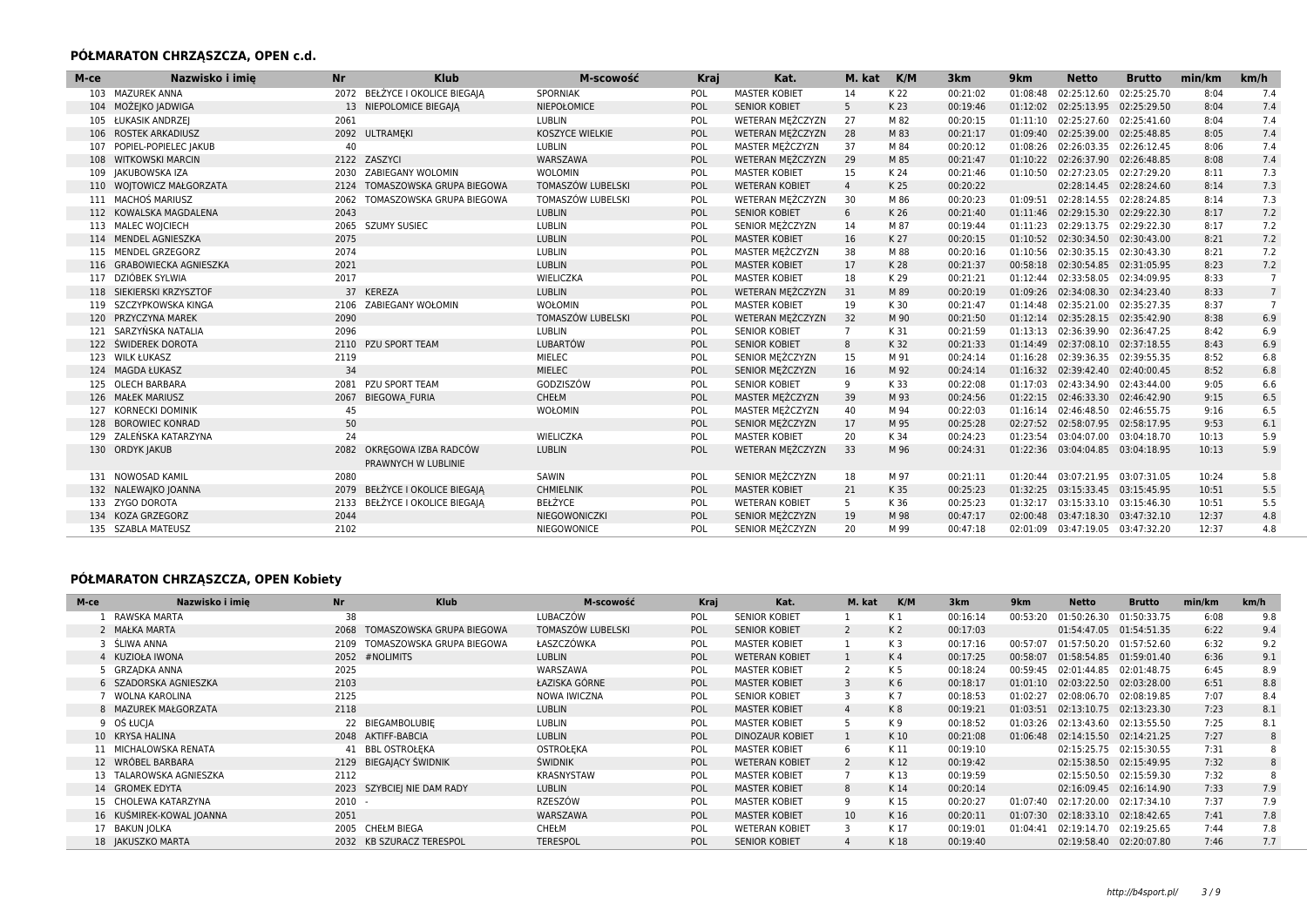### **PÓŁMARATON CHRZĄSZCZA, OPEN c.d.**

| M-ce | Nazwisko i imie              | <b>Nr</b> | <b>Klub</b>                    | M-scowość                | Kraj | Kat.                  | M. kat         | K/M  | 3 <sub>km</sub> | 9 <sub>km</sub> | <b>Netto</b>                     | <b>Brutto</b> | min/km | km/h           |
|------|------------------------------|-----------|--------------------------------|--------------------------|------|-----------------------|----------------|------|-----------------|-----------------|----------------------------------|---------------|--------|----------------|
| 103  | <b>MAZUREK ANNA</b>          |           | 2072 BEŁŻYCE I OKOLICE BIEGAJĄ | <b>SPORNIAK</b>          | POL  | <b>MASTER KOBIET</b>  | 14             | K 22 | 00:21:02        | 01:08:48        | 02:25:12.60                      | 02:25:25.70   | 8:04   | 7.4            |
| 104  | MOŻEJKO JADWIGA              | 13        | NIEPOLOMICE BIEGAJA            | <b>NIEPOŁOMICE</b>       | POL  | <b>SENIOR KOBIET</b>  | 5              | K 23 | 00:19:46        | 01:12:02        | 02:25:13.95 02:25:29.50          |               | 8:04   | 7.4            |
| 105  | ŁUKASIK ANDRZEI              | 2061      |                                | LUBLIN                   | POL  | WETERAN MEŻCZYZN      | 27             | M 82 | 00:20:15        | 01:11:10        | 02:25:27.60                      | 02:25:41.60   | 8:04   | 7.4            |
| 106  | <b>ROSTEK ARKADIUSZ</b>      |           | 2092 ULTRAMEKI                 | <b>KOSZYCE WIELKIE</b>   | POL  | WETERAN MEŻCZYZN      | 28             | M 83 | 00:21:17        | 01:09:40        | 02:25:39.00                      | 02:25:48.85   | 8:05   | 7.4            |
|      | 107 POPIEL-POPIELEC JAKUB    | 40        |                                | LUBLIN                   | POL  | MASTER MEZCZYZN       | 37             | M 84 | 00:20:12        | 01:08:26        | 02:26:03.35 02:26:12.45          |               | 8:06   | 7.4            |
|      | 108 WITKOWSKI MARCIN         |           | 2122 ZASZYCI                   | WARSZAWA                 | POL  | WETERAN MEŻCZYZN      | 29             | M 85 | 00:21:47        |                 | 01:10:22 02:26:37.90 02:26:48.85 |               | 8:08   | 7.4            |
|      | 109 IAKUBOWSKA IZA           |           | 2030 ZABIEGANY WOLOMIN         | <b>WOLOMIN</b>           | POL  | <b>MASTER KOBIET</b>  | 15             | K 24 | 00:21:46        | 01:10:50        | 02:27:23.05 02:27:29.20          |               | 8:11   | 7.3            |
|      | 110 WOJTOWICZ MAŁGORZATA     | 2124      | TOMASZOWSKA GRUPA BIEGOWA      | TOMASZÓW LUBELSKI        | POL  | <b>WETERAN KOBIET</b> | $\overline{4}$ | K 25 | 00:20:22        |                 | 02:28:14.45 02:28:24.60          |               | 8:14   | 7.3            |
|      | 111 MACHOŚ MARIUSZ           | 2062      | TOMASZOWSKA GRUPA BIEGOWA      | TOMASZÓW LUBELSKI        | POL  | WETERAN MEŻCZYZN      | 30             | M 86 | 00:20:23        | 01:09:51        | 02:28:14.55 02:28:24.85          |               | 8:14   | 7.3            |
| 112  | KOWALSKA MAGDALENA           | 2043      |                                | <b>LUBLIN</b>            | POL  | <b>SENIOR KOBIET</b>  | 6              | K 26 | 00:21:40        |                 | 01:11:46 02:29:15.30 02:29:22.30 |               | 8:17   | 7.2            |
|      | 113 MALEC WOJCIECH           |           | 2065 SZUMY SUSIEC              | LUBLIN                   | POL  | SENIOR MEŻCZYZN       | 14             | M 87 | 00:19:44        | 01:11:23        | 02:29:13.75 02:29:22.30          |               | 8:17   | 7.2            |
| 114  | MENDEL AGNIESZKA             | 2075      |                                | <b>LUBLIN</b>            | POL  | <b>MASTER KOBIET</b>  | 16             | K 27 | 00:20:15        |                 | 01:10:52 02:30:34.50 02:30:43.00 |               | 8:21   | 7.2            |
| 115  | MENDEL GRZEGORZ              | 2074      |                                | LUBLIN                   | POL  | MASTER MEŻCZYZN       | 38             | M 88 | 00:20:16        |                 | 01:10:56 02:30:35.15 02:30:43.30 |               | 8:21   | 7.2            |
| 116  | <b>GRABOWIECKA AGNIESZKA</b> | 2021      |                                | <b>LUBLIN</b>            | POL  | <b>MASTER KOBIET</b>  | 17             | K 28 | 00:21:37        |                 | 00:58:18 02:30:54.85 02:31:05.95 |               | 8:23   | 7.2            |
|      | DZIÓBEK SYLWIA               | 2017      |                                | WIELICZKA                | POL  | <b>MASTER KOBIET</b>  | 18             | K 29 | 00:21:21        |                 | 01:12:44 02:33:58.05 02:34:09.95 |               | 8:33   | $\overline{7}$ |
|      | 118 SIEKIERSKI KRZYSZTOF     |           | 37 KEREZA                      | <b>LUBLIN</b>            | POL  | WETERAN MEŻCZYZN      | 31             | M 89 | 00:20:19        |                 | 01:09:26 02:34:08.30 02:34:23.40 |               | 8:33   | $\overline{7}$ |
|      | 119 SZCZYPKOWSKA KINGA       |           | 2106 ZABIEGANY WOŁOMIN         | <b>WOŁOMIN</b>           | POL  | <b>MASTER KOBIET</b>  | 19             | K 30 | 00:21:47        |                 | 01:14:48 02:35:21.00 02:35:27.35 |               | 8:37   | $\overline{7}$ |
| 120  | PRZYCZYNA MAREK              | 2090      |                                | <b>TOMASZÓW LUBELSKI</b> | POL  | WETERAN MEŻCZYZN      | 32             | M 90 | 00:21:50        |                 | 01:12:14 02:35:28.15 02:35:42.90 |               | 8:38   | 6.9            |
| 121  | SARZYŃSKA NATALIA            | 2096      |                                | <b>LUBLIN</b>            | POL  | <b>SENIOR KOBIET</b>  | $\overline{7}$ | K 31 | 00:21:59        | 01:13:13        | 02:36:39.90                      | 02:36:47.25   | 8:42   | 6.9            |
| 122  | ŚWIDEREK DOROTA              |           | 2110 PZU SPORT TEAM            | <b>LUBARTÓW</b>          | POL  | <b>SENIOR KOBIET</b>  | 8              | K 32 | 00:21:33        | 01:14:49        | 02:37:08.10                      | 02:37:18.55   | 8:43   | 6.9            |
| 123  | <b>WILK ŁUKASZ</b>           | 2119      |                                | MIELEC                   | POL  | SENIOR MEŻCZYZN       | 15             | M 91 | 00:24:14        | 01:16:28        | 02:39:36.35 02:39:55.35          |               | 8:52   | 6.8            |
| 124  | <b>MAGDA ŁUKASZ</b>          | 34        |                                | <b>MIELEC</b>            | POL  | SENIOR MEŻCZYZN       | 16             | M 92 | 00:24:14        | 01:16:32        | 02:39:42.40 02:40:00.45          |               | 8:52   | 6.8            |
|      | <b>OLECH BARBARA</b>         |           | 2081 PZU SPORT TEAM            | GODZISZÓW                | POL  | <b>SENIOR KOBIET</b>  | 9              | K 33 | 00:22:08        | 01:17:03        | 02:43:34.90 02:43:44.00          |               | 9:05   | 6.6            |
| 126  | <b>MAŁEK MARIUSZ</b>         | 2067      | <b>BIEGOWA FURIA</b>           | CHEŁM                    | POL  | MASTER MEŻCZYZN       | 39             | M 93 | 00:24:56        | 01:22:15        | 02:46:33.30 02:46:42.90          |               | 9:15   | 6.5            |
|      | <b>KORNECKI DOMINIK</b>      | 45        |                                | WOŁOMIN                  | POL  | MASTER MEŻCZYZN       | 40             | M 94 | 00:22:03        | 01:16:14        | 02:46:48.50 02:46:55.75          |               | 9:16   | 6.5            |
| 128  | <b>BOROWIEC KONRAD</b>       | 50        |                                |                          | POL  | SENIOR MEZCZYZN       | 17             | M 95 | 00:25:28        |                 | 02:27:52 02:58:07.95 02:58:17.95 |               | 9:53   | 6.1            |
|      | 129 ZALEŃSKA KATARZYNA       | 24        |                                | WIELICZKA                | POL  | <b>MASTER KOBIET</b>  | 20             | K 34 | 00:24:23        |                 | 01:23:54 03:04:07.00 03:04:18.70 |               | 10:13  | 5.9            |
|      | 130 ORDYK JAKUB              | 2082      | OKREGOWA IZBA RADCÓW           | <b>LUBLIN</b>            | POL  | WETERAN MEŻCZYZN      | 33             | M 96 | 00:24:31        |                 | 01:22:36 03:04:04.85 03:04:18.95 |               | 10:13  | 5.9            |
|      |                              |           | PRAWNYCH W LUBLINIE            |                          |      |                       |                |      |                 |                 |                                  |               |        |                |
| 131  | <b>NOWOSAD KAMIL</b>         | 2080      |                                | SAWIN                    | POL  | SENIOR MEŻCZYZN       | 18             | M 97 | 00:21:11        | 01:20:44        | 03:07:21.95 03:07:31.05          |               | 10:24  | 5.8            |
|      | 132 NALEWAJKO JOANNA         | 2079      | BEŁŻYCE I OKOLICE BIEGAJĄ      | <b>CHMIELNIK</b>         | POL  | <b>MASTER KOBIET</b>  | 21             | K 35 | 00:25:23        | 01:32:25        | 03:15:33.45 03:15:45.95          |               | 10:51  | 5.5            |
|      | 133 ZYGO DOROTA              | 2133      | BEŁŻYCE I OKOLICE BIEGAJĄ      | BEŁŻYCE                  | POL  | <b>WETERAN KOBIET</b> | 5              | K 36 | 00:25:23        | 01:32:17        | 03:15:33.10 03:15:46.30          |               | 10:51  | 5.5            |
| 134  | KOZA GRZEGORZ                | 2044      |                                | NIEGOWONICZKI            | POL  | SENIOR MEŻCZYZN       | 19             | M 98 | 00:47:17        | 02:00:48        | 03:47:18.30                      | 03:47:32.10   | 12:37  | 4.8            |
|      | 135 SZABLA MATEUSZ           | 2102      |                                | NIEGOWONICE              | POL  | SENIOR MEŻCZYZN       | 20             | M 99 | 00:47:18        |                 | 02:01:09 03:47:19.05 03:47:32.20 |               | 12:37  | 4.8            |

#### **PÓŁMARATON CHRZĄSZCZA, OPEN Kobiety**

| M-ce | Nazwisko i imie          | <b>Nr</b> | <b>Klub</b>                | M-scowość           | Kraj | Kat.                   | M. kat | K/M            | 3 <sub>km</sub> | 9 <sub>km</sub> | <b>Netto</b>            | <b>Brutto</b> | min/km | km/h |
|------|--------------------------|-----------|----------------------------|---------------------|------|------------------------|--------|----------------|-----------------|-----------------|-------------------------|---------------|--------|------|
|      | RAWSKA MARTA             | 38        |                            | LUBACZÓW            | POL  | <b>SENIOR KOBIET</b>   |        | K1             | 00:16:14        | 00:53:20        | 01:50:26.30             | 01:50:33.75   | 6:08   | 9.8  |
|      | 2 MAŁKA MARTA            | 2068      | TOMASZOWSKA GRUPA BIEGOWA  | TOMASZÓW LUBELSKI   | POL  | <b>SENIOR KOBIET</b>   |        | K <sub>2</sub> | 00:17:03        |                 | 01:54:47.05 01:54:51.35 |               | 6:22   | 9.4  |
|      | 3 ŚLIWA ANNA             | 2109      | TOMASZOWSKA GRUPA BIEGOWA  | ŁASZCZÓWKA          | POL  | <b>MASTER KOBIET</b>   |        | K <sub>3</sub> | 00:17:16        | 00:57:07        | 01:57:50.20             | 01:57:52.60   | 6:32   | 9.2  |
|      | 4 KUZIOŁA IWONA          |           | 2052 #NOLIMITS             | <b>LUBLIN</b>       | POL  | <b>WETERAN KOBIET</b>  |        | K <sub>4</sub> | 00:17:25        | 00:58:07        | 01:58:54.85             | 01:59:01.40   | 6:36   | 9.1  |
|      | GRZADKA ANNA             | 2025      |                            | WARSZAWA            | POL  | <b>MASTER KOBIET</b>   |        | K 5            | 00:18:24        | 00:59:45        | 02:01:44.85             | 02:01:48.75   | 6:45   | 8.9  |
|      | 6 SZADORSKA AGNIESZKA    | 2103      |                            | ŁAZISKA GÓRNE       | POL  | <b>MASTER KOBIET</b>   | 3      | K <sub>6</sub> | 00:18:17        | 01:01:10        | 02:03:22.50             | 02:03:28.00   | 6:51   | 8.8  |
|      | WOLNA KAROLINA           | 2125      |                            | <b>NOWA IWICZNA</b> | POL  | <b>SENIOR KOBIET</b>   |        | K 7            | 00:18:53        | 01:02:27        | 02:08:06.70             | 02:08:19.85   | 7:07   | 8.4  |
|      | 8 MAZUREK MAŁGORZATA     | 2118      |                            | <b>LUBLIN</b>       | POL  | <b>MASTER KOBIET</b>   |        | K <sub>8</sub> | 00:19:21        | 01:03:51        | 02:13:10.75             | 02:13:23.30   | 7:23   | 8.1  |
|      | 9 OS ŁUCIA               |           | 22 BIEGAMBOLUBIE           | LUBLIN              | POL  | <b>MASTER KOBIET</b>   |        | K 9            | 00:18:52        | 01:03:26        | 02:13:43.60             | 02:13:55.50   | 7:25   | 8.1  |
|      | 10 KRYSA HALINA          |           | 2048 AKTIFF-BABCIA         | <b>LUBLIN</b>       | POL  | <b>DINOZAUR KOBIET</b> |        | K 10           | 00:21:08        | 01:06:48        | 02:14:15.50             | 02:14:21.25   | 7:27   | 8    |
|      | 11 MICHALOWSKA RENATA    | 41        | <b>BBL OSTROŁEKA</b>       | OSTROŁEKA           | POL  | <b>MASTER KOBIET</b>   | 6      | K 11           | 00:19:10        |                 | 02:15:25.75             | 02:15:30.55   | 7:31   | 8    |
|      | 12 WRÓBEL BARBARA        |           | 2129 BIEGAIACY ŚWIDNIK     | <b>ŚWIDNIK</b>      | POL  | <b>WETERAN KOBIET</b>  |        | K12            | 00:19:42        |                 | 02:15:38.50             | 02:15:49.95   | 7:32   | 8    |
|      | 13 TALAROWSKA AGNIESZKA  | 2112      |                            | <b>KRASNYSTAW</b>   | POL  | <b>MASTER KOBIET</b>   |        | K 13           | 00:19:59        |                 | 02:15:50.50             | 02:15:59.30   | 7:32   |      |
|      | 14 GROMEK EDYTA          |           | 2023 SZYBCIEJ NIE DAM RADY | <b>LUBLIN</b>       | POL  | <b>MASTER KOBIET</b>   | 8      | K 14           | 00:20:14        |                 | 02:16:09.45             | 02:16:14.90   | 7:33   | 7.9  |
|      | 15 CHOLEWA KATARZYNA     | $2010 -$  |                            | RZESZÓW             | POL  | <b>MASTER KOBIET</b>   | 9      | K 15           | 00:20:27        | 01:07:40        | 02:17:20.00             | 02:17:34.10   | 7:37   | 7.9  |
|      | 16 KUŚMIREK-KOWAL JOANNA | 2051      |                            | WARSZAWA            | POL  | <b>MASTER KOBIET</b>   | 10     | K16            | 00:20:11        | 01:07:30        | 02:18:33.10             | 02:18:42.65   | 7:41   | 7.8  |
|      | 17 BAKUN JOLKA           |           | 2005 CHEŁM BIEGA           | CHEŁM               | POL  | <b>WETERAN KOBIET</b>  | 3      | K 17           | 00:19:01        | 01:04:41        | 02:19:14.70             | 02:19:25.65   | 7:44   | 7.8  |
|      | 18 JAKUSZKO MARTA        |           | 2032 KB SZURACZ TERESPOL   | <b>TERESPOL</b>     | POL  | <b>SENIOR KOBIET</b>   |        | K 18           | 00:19:40        |                 | 02:19:58.40             | 02:20:07.80   | 7:46   | 7.7  |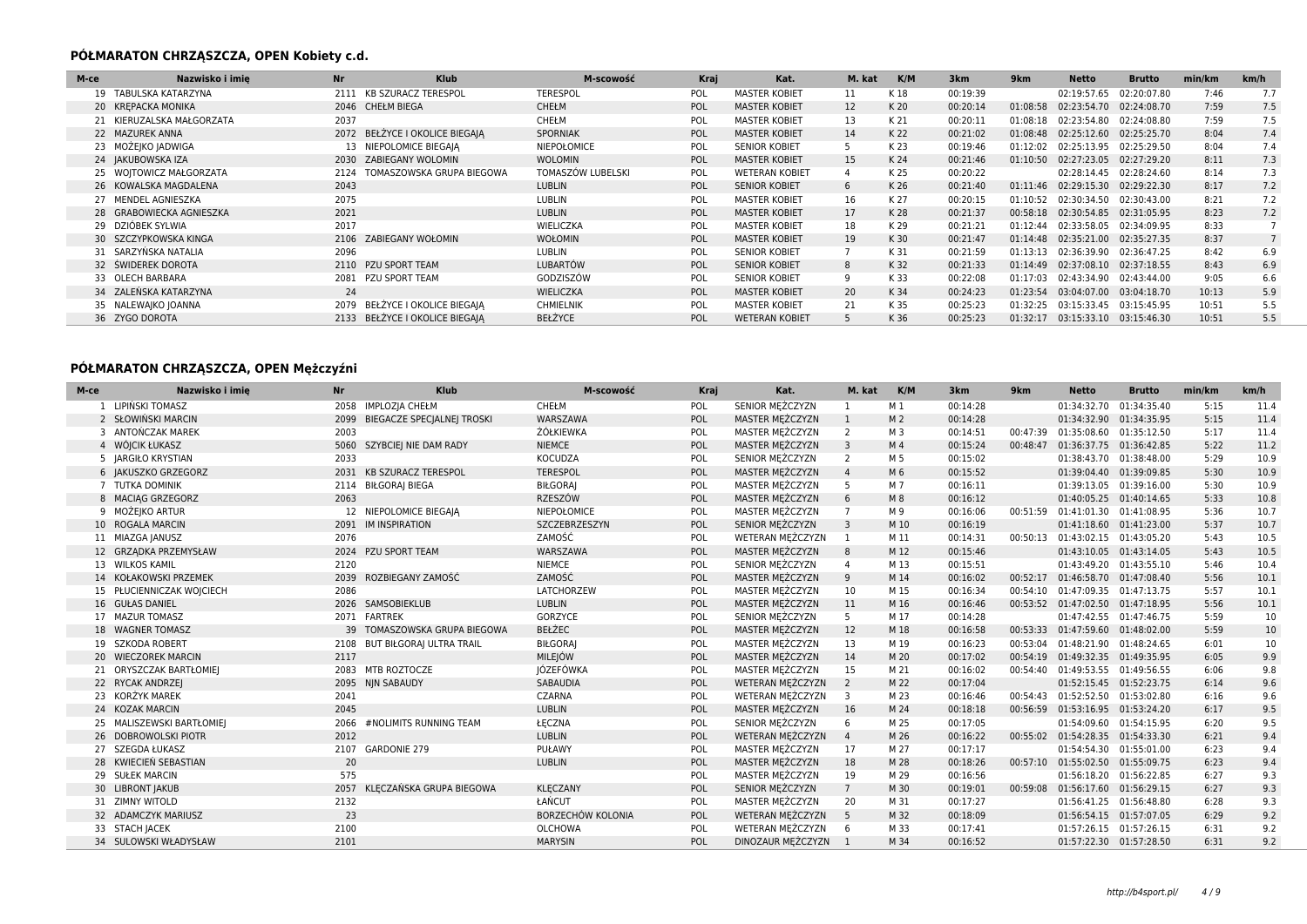### **PÓŁMARATON CHRZĄSZCZA, OPEN Kobiety c.d.**

| M-ce | Nazwisko i imie           | <b>Nr</b> | <b>Klub</b>                    | M-scowość         | Kraj | Kat.                  | M. kat            | K/M  | 3 <sub>km</sub> | 9km      | Netto                   | <b>Brutto</b> | min/km | km/h |
|------|---------------------------|-----------|--------------------------------|-------------------|------|-----------------------|-------------------|------|-----------------|----------|-------------------------|---------------|--------|------|
|      | 19 TABULSKA KATARZYNA     | 2111      | <b>KB SZURACZ TERESPOL</b>     | <b>TERESPOL</b>   | POL  | <b>MASTER KOBIET</b>  | 11                | K 18 | 00:19:39        |          | 02:19:57.65             | 02:20:07.80   | 7:46   | 7.7  |
|      | 20 KREPACKA MONIKA        |           | 2046 CHEŁM BIEGA               | <b>CHEŁM</b>      | POL  | <b>MASTER KOBIET</b>  | $12 \overline{ }$ | K 20 | 00:20:14        | 01:08:58 | 02:23:54.70 02:24:08.70 |               | 7:59   | 7.5  |
|      | 21 KIERUZALSKA MAŁGORZATA | 2037      |                                | CHEŁM             | POL  | <b>MASTER KOBIET</b>  | 13                | K 21 | 00:20:11        | 01:08:18 | 02:23:54.80             | 02:24:08.80   | 7:59   | 7.5  |
|      | 22 MAZUREK ANNA           |           | 2072 BEŁŻYCE I OKOLICE BIEGAJĄ | <b>SPORNIAK</b>   | POL  | <b>MASTER KOBIET</b>  | 14                | K 22 | 00:21:02        | 01:08:48 | 02:25:12.60             | 02:25:25.70   | 8:04   | 7.4  |
|      | 23 MOŻEJKO JADWIGA        |           | 13 NIEPOLOMICE BIEGAIA         | NIEPOŁOMICE       | POL  | <b>SENIOR KOBIET</b>  |                   | K 23 | 00:19:46        | 01:12:02 | 02:25:13.95             | 02:25:29.50   | 8:04   | 7.4  |
|      | 24 JAKUBOWSKA IZA         |           | 2030 ZABIEGANY WOLOMIN         | <b>WOLOMIN</b>    | POL  | <b>MASTER KOBIET</b>  | 15                | K 24 | 00:21:46        | 01:10:50 | 02:27:23.05             | 02:27:29.20   | 8:11   | 7.3  |
|      | 25 WOJTOWICZ MAŁGORZATA   | 2124      | TOMASZOWSKA GRUPA BIEGOWA      | TOMASZÓW LUBELSKI | POL  | <b>WETERAN KOBIET</b> | 4                 | K 25 | 00:20:22        |          | 02:28:14.45             | 02:28:24.60   | 8:14   | 7.3  |
|      | 26 KOWALSKA MAGDALENA     | 2043      |                                | <b>LUBLIN</b>     | POL  | <b>SENIOR KOBIET</b>  | 6                 | K 26 | 00:21:40        | 01:11:46 | 02:29:15.30             | 02:29:22.30   | 8:17   | 7.2  |
|      | 27 MENDEL AGNIESZKA       | 2075      |                                | LUBLIN            | POL  | <b>MASTER KOBIET</b>  | 16                | K 27 | 00:20:15        | 01:10:52 | 02:30:34.50             | 02:30:43.00   | 8:21   | 7.2  |
|      | 28 GRABOWIECKA AGNIESZKA  | 2021      |                                | <b>LUBLIN</b>     | POL  | <b>MASTER KOBIET</b>  | 17                | K 28 | 00:21:37        | 00:58:18 | 02:30:54.85 02:31:05.95 |               | 8:23   | 7.2  |
|      | 29 DZIÓBEK SYLWIA         | 2017      |                                | WIELICZKA         | POL  | <b>MASTER KOBIET</b>  | 18                | K 29 | 00:21:21        | 01:12:44 | 02:33:58.05             | 02:34:09.95   | 8:33   |      |
|      | 30 SZCZYPKOWSKA KINGA     |           | 2106 ZABIEGANY WOŁOMIN         | <b>WOŁOMIN</b>    | POL  | <b>MASTER KOBIET</b>  | 19                | K 30 | 00:21:47        | 01:14:48 | 02:35:21.00 02:35:27.35 |               | 8:37   |      |
|      | 31 SARZYŃSKA NATALIA      | 2096      |                                | LUBLIN            | POL  | <b>SENIOR KOBIET</b>  |                   | K 31 | 00:21:59        | 01:13:13 | 02:36:39.90             | 02:36:47.25   | 8:42   | 6.9  |
|      | 32 ŚWIDEREK DOROTA        |           | 2110 PZU SPORT TEAM            | <b>LUBARTÓW</b>   | POL  | <b>SENIOR KOBIET</b>  | 8                 | K 32 | 00:21:33        | 01:14:49 | 02:37:08.10 02:37:18.55 |               | 8:43   | 6.9  |
|      | 33 OLECH BARBARA          |           | 2081 PZU SPORT TEAM            | GODZISZÓW         | POL  | <b>SENIOR KOBIET</b>  | 9                 | K 33 | 00:22:08        | 01:17:03 | 02:43:34.90 02:43:44.00 |               | 9:05   | 6.6  |
|      | 34 ZALEŃSKA KATARZYNA     | 24        |                                | <b>WIELICZKA</b>  | POL  | <b>MASTER KOBIET</b>  | 20                | K 34 | 00:24:23        | 01:23:54 | 03:04:07.00             | 03:04:18.70   | 10:13  | 5.9  |
|      | 35 NALEWAJKO JOANNA       | 2079      | BEŁŻYCE I OKOLICE BIEGAJĄ      | <b>CHMIELNIK</b>  | POL  | <b>MASTER KOBIET</b>  | 21                | K 35 | 00:25:23        | 01:32:25 | 03:15:33.45             | 03:15:45.95   | 10:51  | 5.5  |
|      | 36 ZYGO DOROTA            |           | 2133 BEŁŻYCE I OKOLICE BIEGAJĄ | <b>BEŁŻYCE</b>    | POL  | <b>WETERAN KOBIET</b> |                   | K 36 | 00:25:23        | 01:32:17 | 03:15:33.10 03:15:46.30 |               | 10:51  | 5.5  |

## **PÓŁMARATON CHRZĄSZCZA, OPEN Mężczyźni**

| M-ce | Nazwisko i imie           | <b>Nr</b> | Klub                          | M-scowość          | <b>Kraj</b> | Kat.                   | M. kat          | K/M            | 3 <sub>km</sub> | 9km      | <b>Netto</b>                       | <b>Brutto</b> | min/km | km/h |
|------|---------------------------|-----------|-------------------------------|--------------------|-------------|------------------------|-----------------|----------------|-----------------|----------|------------------------------------|---------------|--------|------|
|      | 1 LIPIŃSKI TOMASZ         |           | 2058 IMPLOZIA CHEŁM           | CHEŁM              | POL         | SENIOR MEŻCZYZN        |                 | M 1            | 00:14:28        |          | 01:34:32.70                        | 01:34:35.40   | 5:15   | 11.4 |
|      | 2 SŁOWIŃSKI MARCIN        | 2099      | BIEGACZE SPECJALNEJ TROSKI    | WARSZAWA           | POL         | MASTER MEŻCZYZN        |                 | M <sub>2</sub> | 00:14:28        |          | 01:34:32.90                        | 01:34:35.95   | 5:15   | 11.4 |
|      | 3 ANTOŃCZAK MAREK         | 2003      |                               | ŻÓŁKIEWKA          | POL         | MASTER MEŻCZYZN        | 2               | M 3            | 00:14:51        | 00:47:39 | 01:35:08.60                        | 01:35:12.50   | 5:17   | 11.4 |
|      | 4 WÓJCIK ŁUKASZ           |           | 5060 SZYBCIEJ NIE DAM RADY    | <b>NIEMCE</b>      | POL         | MASTER MEZCZYZN        | $\overline{3}$  | M <sub>4</sub> | 00:15:24        | 00:48:47 | 01:36:37.75 01:36:42.85            |               | 5:22   | 11.2 |
|      | 5 IARGIŁO KRYSTIAN        | 2033      |                               | <b>KOCUDZA</b>     | POL         | SENIOR MEŻCZYZN        | 2               | M 5            | 00:15:02        |          | 01:38:43.70 01:38:48.00            |               | 5:29   | 10.9 |
|      | 6 JAKUSZKO GRZEGORZ       |           | 2031 KB SZURACZ TERESPOL      | <b>TERESPOL</b>    | POL         | MASTER MEŻCZYZN        | $\overline{a}$  | M 6            | 00:15:52        |          | 01:39:04.40 01:39:09.85            |               | 5:30   | 10.9 |
|      | 7 TUTKA DOMINIK           |           | 2114 BIŁGORAJ BIEGA           | <b>BIŁGORAI</b>    | POL         | MASTER MEZCZYZN        | -5              | M 7            | 00:16:11        |          | 01:39:13.05 01:39:16.00            |               | 5:30   | 10.9 |
|      | 8 MACIAG GRZEGORZ         | 2063      |                               | <b>RZESZÓW</b>     | POL         | <b>MASTER MEŻCZYZN</b> | 6               | M8             | 00:16:12        |          | 01:40:05.25 01:40:14.65            |               | 5:33   | 10.8 |
|      | 9 MOŻEJKO ARTUR           | 12        | NIEPOLOMICE BIEGAIA           | <b>NIEPOŁOMICE</b> | POL         | MASTER MEŻCZYZN        |                 | M 9            | 00:16:06        | 00:51:59 | 01:41:01.30                        | 01:41:08.95   | 5:36   | 10.7 |
|      | 10 ROGALA MARCIN          |           | 2091 IM INSPIRATION           | SZCZEBRZESZYN      | POL         | SENIOR MEŻCZYZN        | $\overline{3}$  | M 10           | 00:16:19        |          | 01:41:18.60 01:41:23.00            |               | 5:37   | 10.7 |
|      | 11 MIAZGA JANUSZ          | 2076      |                               | ZAMOŚĆ             | POL         | WETERAN MEŻCZYZN       | $\overline{1}$  | M 11           | 00:14:31        |          | 00:50:13 01:43:02.15 01:43:05.20   |               | 5:43   | 10.5 |
|      | 12 GRZĄDKA PRZEMYSŁAW     |           | 2024 PZU SPORT TEAM           | WARSZAWA           | POL         | MASTER MEŻCZYZN        | 8               | M 12           | 00:15:46        |          | 01:43:10.05 01:43:14.05            |               | 5:43   | 10.5 |
|      | 13 WILKOS KAMIL           | 2120      |                               | <b>NIEMCE</b>      | POL         | SENIOR MEŻCZYZN        | $\overline{4}$  | M 13           | 00:15:51        |          | 01:43:49.20 01:43:55.10            |               | 5:46   | 10.4 |
|      | 14 KOŁAKOWSKI PRZEMEK     |           | 2039 ROZBIEGANY ZAMOŚĆ        | ZAMOŚĆ             | POL         | MASTER MEZCZYZN        | 9               | M 14           | 00:16:02        | 00:52:17 | 01:46:58.70 01:47:08.40            |               | 5:56   | 10.1 |
|      | 15 PŁUCIENNICZAK WOJCIECH | 2086      |                               | LATCHORZEW         | POL         | MASTER MEZCZYZN        | 10              | M 15           | 00:16:34        |          | 00:54:10 01:47:09.35 01:47:13.75   |               | 5:57   | 10.1 |
|      | 16 GUŁAS DANIEL           |           | 2026 SAMSOBIEKLUB             | <b>LUBLIN</b>      | POL         | MASTER MEZCZYZN        | 11              | M 16           | 00:16:46        |          | 00:53:52 01:47:02.50 01:47:18.95   |               | 5:56   | 10.1 |
|      | 17 MAZUR TOMASZ           |           | 2071 FARTREK                  | GORZYCE            | POL         | SENIOR MEŻCZYZN        | 5               | M 17           | 00:14:28        |          | 01:47:42.55 01:47:46.75            |               | 5:59   | 10   |
|      | 18 WAGNER TOMASZ          |           | 39 TOMASZOWSKA GRUPA BIEGOWA  | <b>BEŁŻEC</b>      | POL         | MASTER MEŻCZYZN        | 12              | M 18           | 00:16:58        |          | 00:53:33 01:47:59.60               | 01:48:02.00   | 5:59   | 10   |
| 19   | <b>SZKODA ROBERT</b>      |           | 2108 BUT BIŁGORAJ ULTRA TRAIL | <b>BIŁGORAJ</b>    | POL         | MASTER MEŻCZYZN        | 13              | M 19           | 00:16:23        | 00:53:04 | 01:48:21.90                        | 01:48:24.65   | 6:01   | 10   |
| 20   | <b>WIECZOREK MARCIN</b>   | 2117      |                               | <b>MILEJÓW</b>     | POL         | MASTER MEŻCZYZN        | 14              | M 20           | 00:17:02        |          | 00:54:19 01:49:32.35 01:49:35.95   |               | 6:05   | 9.9  |
|      | 21 ORYSZCZAK BARTŁOMIEJ   |           | 2083 MTB ROZTOCZE             | JÓZEFÓWKA          | POL         | MASTER MEZCZYZN        | 15              | M 21           | 00:16:02        |          | 00:54:40 01:49:53.55 01:49:56.55   |               | 6:06   | 9.8  |
|      | 22 RYCAK ANDRZEJ          |           | 2095 NJN SABAUDY              | SABAUDIA           | POL         | WETERAN MEŻCZYZN       | 2               | M 22           | 00:17:04        |          | 01:52:15.45 01:52:23.75            |               | 6:14   | 9.6  |
| 23   | KORŻYK MAREK              | 2041      |                               | CZARNA             | POL         | WETERAN MEŻCZYZN       | $\overline{3}$  | M 23           | 00:16:46        | 00:54:43 | 01:52:52.50 01:53:02.80            |               | 6:16   | 9.6  |
|      | 24 KOZAK MARCIN           | 2045      |                               | <b>LUBLIN</b>      | POL         | MASTER MEZCZYZN        | 16              | M 24           | 00:18:18        | 00:56:59 | 01:53:16.95 01:53:24.20            |               | 6:17   | 9.5  |
|      | 25 MALISZEWSKI BARTŁOMIEI |           | 2066 #NOLIMITS RUNNING TEAM   | ŁECZNA             | POL         | SENIOR MEŻCZYZN        | -6              | M 25           | 00:17:05        |          | 01:54:09.60 01:54:15.95            |               | 6:20   | 9.5  |
|      | 26 DOBROWOLSKI PIOTR      | 2012      |                               | <b>LUBLIN</b>      | POL         | WETERAN MEŻCZYZN       | $\overline{4}$  | M 26           | 00:16:22        |          | 00:55:02  01:54:28.35  01:54:33.30 |               | 6:21   | 9.4  |
| 27   | <b>SZEGDA ŁUKASZ</b>      | 2107      | <b>GARDONIE 279</b>           | PUŁAWY             | POL         | <b>MASTER MEŻCZYZN</b> | 17              | M 27           | 00:17:17        |          | 01:54:54.30 01:55:01.00            |               | 6:23   | 9.4  |
|      | 28 KWIECIEŃ SEBASTIAN     | 20        |                               | <b>LUBLIN</b>      | POL         | MASTER MEŻCZYZN        | 18              | M 28           | 00:18:26        |          | 00:57:10 01:55:02.50 01:55:09.75   |               | 6:23   | 9.4  |
|      | 29 SUŁEK MARCIN           | 575       |                               |                    | POL         | MASTER MEŻCZYZN        | 19              | M 29           | 00:16:56        |          | 01:56:18.20 01:56:22.85            |               | 6:27   | 9.3  |
|      | 30 LIBRONT JAKUB          | 2057      | KLECZAŃSKA GRUPA BIEGOWA      | <b>KLECZANY</b>    | POL         | SENIOR MEŻCZYZN        | $7\overline{ }$ | M 30           | 00:19:01        |          | 00:59:08 01:56:17.60               | 01:56:29.15   | 6:27   | 9.3  |
|      | 31 ZIMNY WITOLD           | 2132      |                               | ŁAŃCUT             | POL         | MASTER MEŻCZYZN        | 20              | M 31           | 00:17:27        |          | 01:56:41.25 01:56:48.80            |               | 6:28   | 9.3  |
|      | 32 ADAMCZYK MARIUSZ       | 23        |                               | BORZECHÓW KOLONIA  | POL         | WETERAN MEŻCZYZN       | 5               | M 32           | 00:18:09        |          | 01:56:54.15 01:57:07.05            |               | 6:29   | 9.2  |
|      | 33 STACH JACEK            | 2100      |                               | <b>OLCHOWA</b>     | POL         | WETERAN MEŻCZYZN       | 6               | M 33           | 00:17:41        |          | 01:57:26.15 01:57:26.15            |               | 6:31   | 9.2  |
|      | 34 SULOWSKI WŁADYSŁAW     | 2101      |                               | <b>MARYSIN</b>     | POL         | DINOZAUR MEŻCZYZN 1    |                 | M 34           | 00:16:52        |          | 01:57:22.30 01:57:28.50            |               | 6:31   | 9.2  |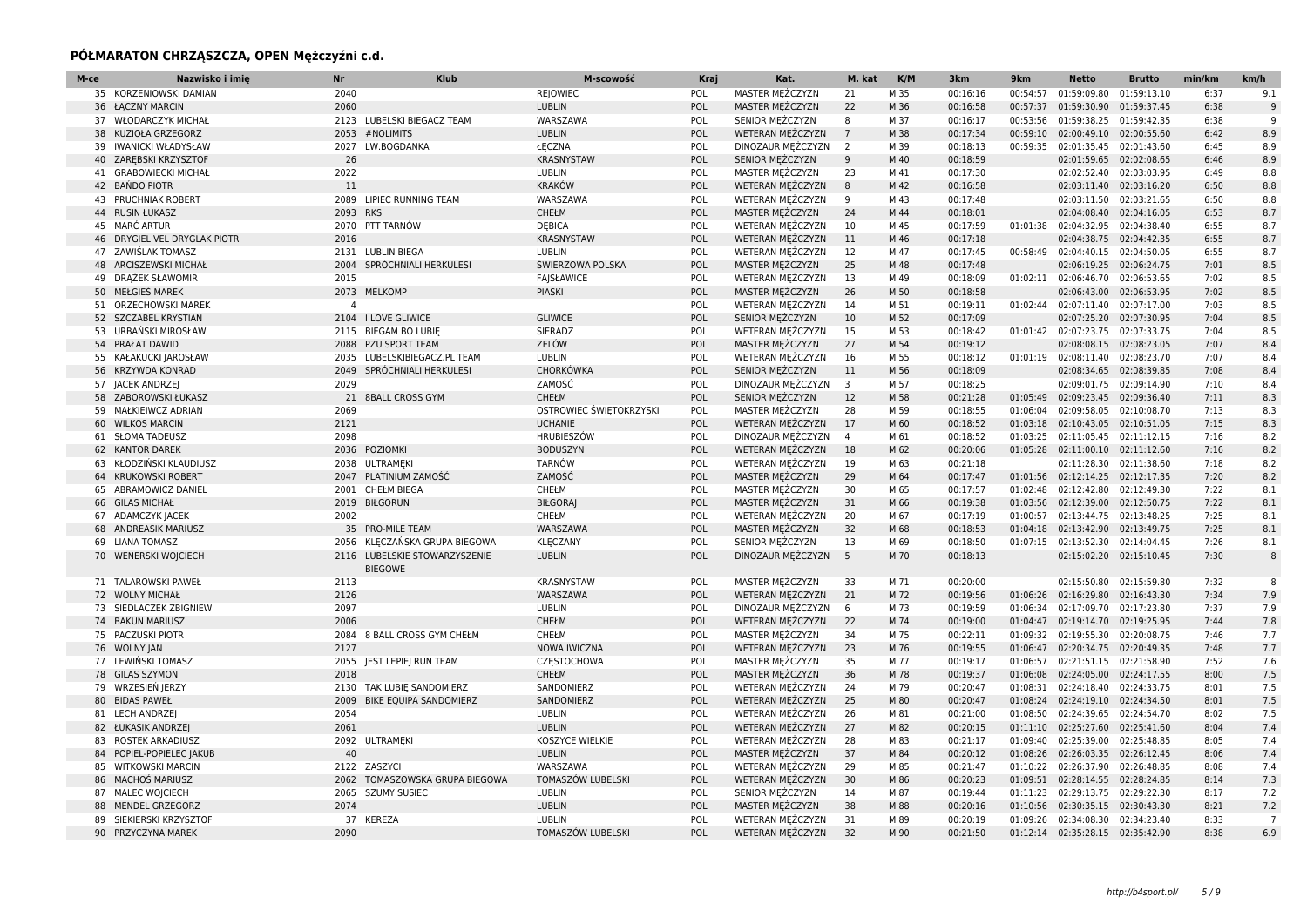#### **PÓŁMARATON CHRZĄSZCZA, OPEN Mężczyźni c.d.**

| M-ce | Nazwisko i imie              | <b>Nr</b> | <b>Klub</b>                                     | M-scowość               | Kraj       | Kat.              | M. kat                  | K/M  | 3 <sub>km</sub> | 9 <sub>km</sub> | <b>Netto</b>                       | <b>Brutto</b> | min/km | km/h           |
|------|------------------------------|-----------|-------------------------------------------------|-------------------------|------------|-------------------|-------------------------|------|-----------------|-----------------|------------------------------------|---------------|--------|----------------|
|      | 35 KORZENIOWSKI DAMIAN       | 2040      |                                                 | <b>REJOWIEC</b>         | POL        | MASTER MEŻCZYZN   | 21                      | M 35 | 00:16:16        | 00:54:57        | 01:59:09.80                        | 01:59:13.10   | 6:37   | 9.1            |
|      | 36 ŁACZNY MARCIN             | 2060      |                                                 | <b>LUBLIN</b>           | POL        | MASTER MEZCZYZN   | 22                      | M 36 | 00:16:58        | 00:57:37        | 01:59:30.90                        | 01:59:37.45   | 6:38   | 9              |
|      | 37 WŁODARCZYK MICHAŁ         | 2123      | LUBELSKI BIEGACZ TEAM                           | WARSZAWA                | POL        | SENIOR MEZCZYZN   | 8                       | M 37 | 00:16:17        | 00:53:56        | 01:59:38.25                        | 01:59:42.35   | 6:38   | q              |
|      | 38 KUZIOŁA GRZEGORZ          |           | 2053 #NOLIMITS                                  | <b>LUBLIN</b>           | POL        | WETERAN MEZCZYZN  | $\overline{7}$          | M 38 | 00:17:34        |                 | 00:59:10 02:00:49.10               | 02:00:55.60   | 6:42   | 8.9            |
|      | 39 IWANICKI WŁADYSŁAW        |           | 2027 LW.BOGDANKA                                | ŁĘCZNA                  | POL        | DINOZAUR MĘŻCZYZN | $\overline{2}$          | M 39 | 00:18:13        |                 | 00:59:35 02:01:35.45 02:01:43.60   |               | 6:45   | 8.9            |
| 40   | ZAREBSKI KRZYSZTOF           | 26        |                                                 | <b>KRASNYSTAW</b>       | POL        | SENIOR MEŻCZYZN   | 9                       | M 40 | 00:18:59        |                 | 02:01:59.65                        | 02:02:08.65   | 6:46   | 8.9            |
| 41   | <b>GRABOWIECKI MICHAŁ</b>    | 2022      |                                                 | LUBLIN                  | POL        | MASTER MEZCZYZN   | 23                      | M 41 | 00:17:30        |                 | 02:02:52.40                        | 02:03:03.95   | 6:49   | 8.8            |
| 42   | <b>BANDO PIOTR</b>           | 11        |                                                 | <b>KRAKÓW</b>           | POL        | WETERAN MEŻCZYZN  | 8                       | M 42 | 00:16:58        |                 | 02:03:11.40                        | 02:03:16.20   | 6:50   | 8.8            |
| 43   | <b>PRUCHNIAK ROBERT</b>      | 2089      | <b>LIPIEC RUNNING TEAM</b>                      | WARSZAWA                | POL        | WETERAN MĘŻCZYZN  | 9                       | M 43 | 00:17:48        |                 | 02:03:11.50                        | 02:03:21.65   | 6:50   | 8.8            |
| 44   | <b>RUSIN ŁUKASZ</b>          | 2093      | <b>RKS</b>                                      | CHEŁM                   | POL        | MASTER MEZCZYZN   | 24                      | M 44 | 00:18:01        |                 | 02:04:08.40                        | 02:04:16.05   | 6:53   | 8.7            |
|      | 45 MARC ARTUR                |           | 2070 PTT TARNÓW                                 | <b>DEBICA</b>           | POL        | WETERAN MEŻCZYZN  | 10                      | M 45 | 00:17:59        |                 | 01:01:38 02:04:32.95 02:04:38.40   |               | 6:55   | 8.7            |
|      | 46 DRYGIEL VEL DRYGLAK PIOTR | 2016      |                                                 | <b>KRASNYSTAW</b>       | POL        | WETERAN MEŻCZYZN  | 11                      | M 46 | 00:17:18        |                 | 02:04:38.75 02:04:42.35            |               | 6:55   | 8.7            |
| 47   | ZAWIŚLAK TOMASZ              | 2131      | LUBLIN BIEGA                                    | <b>LUBLIN</b>           | POL        | WETERAN MEZCZYZN  | 12                      | M 47 | 00:17:45        |                 | 00:58:49 02:04:40.15               | 02:04:50.05   | 6:55   | 8.7            |
| 48   | ARCISZEWSKI MICHAŁ           | 2004      | SPRÓCHNIALI HERKULESI                           | ŚWIERZOWA POLSKA        | POL        | MASTER MEZCZYZN   | 25                      | M 48 | 00:17:48        |                 | 02:06:19.25 02:06:24.75            |               | 7:01   | 8.5            |
| 49   | DRAŻEK SŁAWOMIR              | 2015      |                                                 | FAJSŁAWICE              | POL        | WETERAN MĘŻCZYZN  | 13                      | M 49 | 00:18:09        |                 | 01:02:11 02:06:46.70               | 02:06:53.65   | 7:02   | 8.5            |
| 50   | MEŁGIES MAREK                |           | 2073 MELKOMP                                    | <b>PIASKI</b>           | POL        | MASTER MEZCZYZN   | 26                      | M 50 | 00:18:58        |                 | 02:06:43.00                        | 02:06:53.95   | 7:02   | 8.5            |
| 51   | ORZECHOWSKI MAREK            | 4         |                                                 |                         | POL        | WETERAN MEZCZYZN  | 14                      | M 51 | 00:19:11        |                 | 01:02:44 02:07:11.40               | 02:07:17.00   | 7:03   | 8.5            |
|      | 52 SZCZABEL KRYSTIAN         |           | 2104 I LOVE GLIWICE                             | <b>GLIWICE</b>          | POL        | SENIOR MEZCZYZN   | 10                      | M 52 | 00:17:09        |                 | 02:07:25.20                        | 02:07:30.95   | 7:04   | 8.5            |
| 53   | URBAŃSKI MIROSŁAW            |           | 2115 BIEGAM BO LUBIE                            | SIERADZ                 | POL        | WETERAN MEŻCZYZN  | 15                      | M 53 | 00:18:42        |                 | 01:01:42 02:07:23.75 02:07:33.75   |               | 7:04   | 8.5            |
|      |                              | 2088      |                                                 | ZELÓW                   |            |                   |                         |      |                 |                 |                                    |               | 7:07   |                |
| 54   | PRAŁAT DAWID                 |           | PZU SPORT TEAM                                  |                         | POL        | MASTER MEZCZYZN   | 27                      | M 54 | 00:19:12        |                 | 02:08:08.15 02:08:23.05            |               |        | 8.4            |
| 55   | KAŁAKUCKI JAROSŁAW           | 2035      | LUBELSKIBIEGACZ.PL TEAM                         | LUBLIN                  | POL        | WETERAN MEZCZYZN  | 16                      | M 55 | 00:18:12        |                 | 01:01:19 02:08:11.40               | 02:08:23.70   | 7:07   | 8.4            |
|      | 56 KRZYWDA KONRAD            |           | 2049 SPRÓCHNIALI HERKULESI                      | <b>CHORKÓWKA</b>        | POL        | SENIOR MĘŻCZYZN   | 11                      | M 56 | 00:18:09        |                 | 02:08:34.65 02:08:39.85            |               | 7:08   | 8.4            |
|      | 57 JACEK ANDRZEJ             | 2029      |                                                 | ZAMOŚĆ                  | POL        | DINOZAUR MĘŻCZYZN | $\overline{\mathbf{3}}$ | M 57 | 00:18:25        |                 | 02:09:01.75 02:09:14.90            |               | 7:10   | 8.4            |
| 58   | ZABOROWSKI ŁUKASZ            |           | 21 8BALL CROSS GYM                              | CHEŁM                   | POL        | SENIOR MĘŻCZYZN   | 12                      | M 58 | 00:21:28        |                 | 01:05:49 02:09:23.45 02:09:36.40   |               | 7:11   | 8.3            |
| 59   | MAŁKIEIWCZ ADRIAN            | 2069      |                                                 | OSTROWIEC ŚWIĘTOKRZYSKI | POL        | MASTER MEZCZYZN   | 28                      | M 59 | 00:18:55        | 01:06:04        | 02:09:58.05                        | 02:10:08.70   | 7:13   | 8.3            |
|      | 60 WILKOS MARCIN             | 2121      |                                                 | <b>UCHANIE</b>          | <b>POL</b> | WETERAN MĘŻCZYZN  | 17                      | M 60 | 00:18:52        |                 | 01:03:18 02:10:43.05 02:10:51.05   |               | 7:15   | 8.3            |
| 61   | <b>SŁOMA TADEUSZ</b>         | 2098      |                                                 | <b>HRUBIESZÓW</b>       | POL        | DINOZAUR MĘŻCZYZN | $\overline{4}$          | M 61 | 00:18:52        |                 | 01:03:25 02:11:05.45 02:11:12.15   |               | 7:16   | 8.2            |
|      | 62 KANTOR DAREK              | 2036      | POZIOMKI                                        | <b>BODUSZYN</b>         | POL        | WETERAN MĘŻCZYZN  | 18                      | M 62 | 00:20:06        |                 | 01:05:28 02:11:00.10 02:11:12.60   |               | 7:16   | 8.2            |
|      | 63 KŁODZIŃSKI KLAUDIUSZ      | 2038      | ULTRAMEKI                                       | <b>TARNÓW</b>           | POL        | WETERAN MEŻCZYZN  | 19                      | M 63 | 00:21:18        |                 | 02:11:28.30                        | 02:11:38.60   | 7:18   | 8.2            |
|      | 64 KRUKOWSKI ROBERT          |           | 2047 PLATINIUM ZAMOŚĆ                           | ZAMOŚĆ                  | POL        | MASTER MEZCZYZN   | 29                      | M 64 | 00:17:47        |                 | 01:01:56 02:12:14.25 02:12:17.35   |               | 7:20   | 8.2            |
| 65   | ABRAMOWICZ DANIEL            | 2001      | <b>CHEŁM BIEGA</b>                              | CHEŁM                   | POL        | MASTER MEZCZYZN   | 30                      | M 65 | 00:17:57        |                 | 01:02:48 02:12:42.80               | 02:12:49.30   | 7:22   | 8.1            |
| 66   | <b>GILAS MICHAŁ</b>          |           | 2019 BIŁGORUN                                   | <b>BIŁGORA</b>          | POL        | MASTER MEZCZYZN   | 31                      | M 66 | 00:19:38        |                 | 01:03:56 02:12:39.00 02:12:50.75   |               | 7:22   | 8.1            |
| 67   | ADAMCZYK JACEK               | 2002      |                                                 | <b>CHEŁM</b>            | POL        | WETERAN MEZCZYZN  | 20                      | M 67 | 00:17:19        |                 | 01:00:57 02:13:44.75 02:13:48.25   |               | 7:25   | 8.1            |
| 68   | <b>ANDREASIK MARIUSZ</b>     |           | 35 PRO-MILE TEAM                                | WARSZAWA                | POL        | MASTER MEZCZYZN   | 32                      | M 68 | 00:18:53        |                 | 01:04:18 02:13:42.90 02:13:49.75   |               | 7:25   | 8.1            |
| 69   | <b>LIANA TOMASZ</b>          | 2056      | KLECZAŃSKA GRUPA BIEGOWA                        | <b>KLECZANY</b>         | POL        | SENIOR MĘŻCZYZN   | 13                      | M 69 | 00:18:50        |                 | 01:07:15 02:13:52.30               | 02:14:04.45   | 7:26   | 8.1            |
|      | 70 WENERSKI WOJCIECH         |           | 2116 LUBELSKIE STOWARZYSZENIE<br><b>BIEGOWE</b> | <b>LUBLIN</b>           | POL        | DINOZAUR MĘŻCZYZN | $5^{\circ}$             | M 70 | 00:18:13        |                 | 02:15:02.20 02:15:10.45            |               | 7:30   | 8              |
|      | 71 TALAROWSKI PAWEŁ          | 2113      |                                                 | KRASNYSTAW              | POL        | MASTER MEZCZYZN   | 33                      | M 71 | 00:20:00        |                 | 02:15:50.80                        | 02:15:59.80   | 7:32   | 8              |
|      | 72 WOLNY MICHAŁ              | 2126      |                                                 | WARSZAWA                | POL        | WETERAN MEŻCZYZN  | 21                      | M 72 | 00:19:56        |                 | 01:06:26 02:16:29.80               | 02:16:43.30   | 7:34   | 7.9            |
|      | 73 SIEDLACZEK ZBIGNIEW       | 2097      |                                                 | <b>LUBLIN</b>           | POL        | DINOZAUR MĘŻCZYZN | 6                       | M 73 | 00:19:59        |                 | 01:06:34 02:17:09.70 02:17:23.80   |               | 7:37   | 7.9            |
|      | 74 BAKUN MARIUSZ             | 2006      |                                                 | CHEŁM                   | POL        | WETERAN MEZCZYZN  | 22                      | M 74 | 00:19:00        |                 | 01:04:47 02:19:14.70 02:19:25.95   |               | 7:44   | 7.8            |
| 75   | <b>PACZUSKI PIOTR</b>        | 2084      | 8 BALL CROSS GYM CHEŁM                          | <b>CHEŁM</b>            | POL        | MASTER MEZCZYZN   | 34                      | M 75 | 00:22:11        |                 | 01:09:32 02:19:55.30               | 02:20:08.75   | 7:46   | 7.7            |
|      | 76 WOLNY JAN                 | 2127      |                                                 | <b>NOWA IWICZNA</b>     | POL        | WETERAN MEZCZYZN  | 23                      | M 76 | 00:19:55        |                 | 01:06:47 02:20:34.75 02:20:49.35   |               | 7:48   | 7.7            |
|      | 77 LEWIŃSKI TOMASZ           |           | 2055 JEST LEPIEJ RUN TEAM                       | <b>CZESTOCHOWA</b>      | POL        | MASTER MĘŻCZYZN   | 35                      | M 77 | 00:19:17        |                 | 01:06:57 02:21:51.15 02:21:58.90   |               | 7:52   | 7.6            |
| 78   | <b>GILAS SZYMON</b>          | 2018      |                                                 | CHEŁM                   | POL        | MASTER MEZCZYZN   | 36                      | M 78 | 00:19:37        |                 | 01:06:08 02:24:05.00               | 02:24:17.55   | 8:00   | 7.5            |
| 79   | WRZESIEŃ JERZY               | 2130      | TAK LUBIE SANDOMIERZ                            | SANDOMIERZ              | POL        | WETERAN MĘŻCZYZN  | 24                      | M 79 | 00:20:47        |                 | 01:08:31 02:24:18.40               | 02:24:33.75   | 8:01   | 7.5            |
|      | 80 BIDAS PAWEŁ               | 2009      | <b>BIKE EQUIPA SANDOMIERZ</b>                   | SANDOMIERZ              | POL        | WETERAN MEŻCZYZN  | 25                      | M 80 | 00:20:47        |                 | 01:08:24 02:24:19.10 02:24:34.50   |               | 8:01   | 7.5            |
|      | 81 LECH ANDRZEJ              | 2054      |                                                 | <b>LUBLIN</b>           | POL        | WETERAN MĘŻCZYZN  | 26                      | M 81 | 00:21:00        |                 | 01:08:50 02:24:39.65 02:24:54.70   |               | 8:02   | 7.5            |
|      | 82 ŁUKASIK ANDRZEJ           | 2061      |                                                 | <b>LUBLIN</b>           | POL        | WETERAN MĘŻCZYZN  | 27                      | M 82 | 00:20:15        |                 | 01:11:10 02:25:27.60               | 02:25:41.60   | 8:04   | 7.4            |
| 83   | ROSTEK ARKADIUSZ             |           | 2092 ULTRAMEKI                                  | <b>KOSZYCE WIELKIE</b>  | POL        | WETERAN MEZCZYZN  | 28                      | M 83 | 00:21:17        |                 | 01:09:40 02:25:39.00               | 02:25:48.85   | 8:05   | 7.4            |
| -84  | POPIEL-POPIELEC JAKUB        | 40        |                                                 | <b>LUBLIN</b>           | POL        | MASTER MEZCZYZN   | 37                      | M 84 | 00:20:12        |                 | 01:08:26 02:26:03.35               | 02:26:12.45   | 8:06   | 7.4            |
| 85   | <b>WITKOWSKI MARCIN</b>      |           | 2122 ZASZYCI                                    | WARSZAWA                | POL        | WETERAN MEZCZYZN  | 29                      | M 85 | 00:21:47        |                 | 01:10:22 02:26:37.90               | 02:26:48.85   | 8:08   | 7.4            |
|      |                              |           |                                                 |                         |            |                   |                         |      |                 |                 |                                    |               |        |                |
|      | 86 MACHOŚ MARIUSZ            | 2062      | TOMASZOWSKA GRUPA BIEGOWA                       | TOMASZÓW LUBELSKI       | POL        | WETERAN MEŻCZYZN  | 30                      | M 86 | 00:20:23        |                 | 01:09:51  02:28:14.55  02:28:24.85 |               | 8:14   | 7.3            |
|      | 87 MALEC WOJCIECH            |           | 2065 SZUMY SUSIEC                               | LUBLIN                  | POL        | SENIOR MEZCZYZN   | 14                      | M 87 | 00:19:44        |                 | 01:11:23 02:29:13.75 02:29:22.30   |               | 8:17   | 7.2            |
|      | 88 MENDEL GRZEGORZ           | 2074      |                                                 | <b>LUBLIN</b>           | POL        | MASTER MEZCZYZN   | 38                      | M 88 | 00:20:16        |                 | 01:10:56 02:30:35.15 02:30:43.30   |               | 8:21   | 7.2            |
| 89   | SIEKIERSKI KRZYSZTOF         | 37        | KEREZA                                          | <b>LUBLIN</b>           | POL        | WETERAN MEZCZYZN  | 31                      | M 89 | 00:20:19        |                 | 01:09:26 02:34:08.30 02:34:23.40   |               | 8:33   | $\overline{7}$ |
|      | 90 PRZYCZYNA MAREK           | 2090      |                                                 | TOMASZÓW LUBELSKI       | POL        | WETERAN MĘŻCZYZN  | 32                      | M 90 | 00:21:50        |                 | 01:12:14 02:35:28.15 02:35:42.90   |               | 8:38   | 6.9            |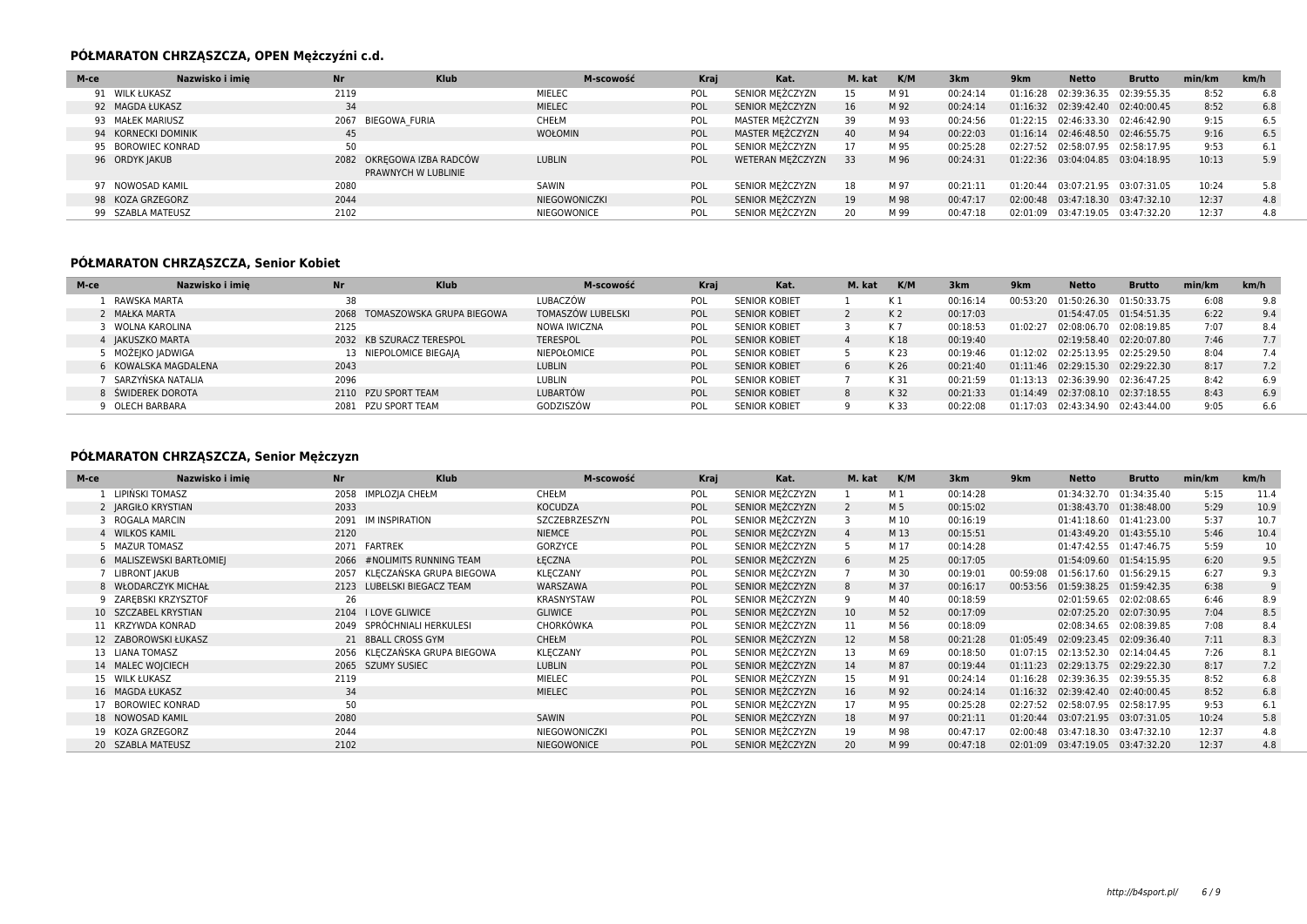## **PÓŁMARATON CHRZĄSZCZA, OPEN Mężczyźni c.d.**

| M-ce | Nazwisko i imie     | <b>Nr</b> | <b>Klub</b>                                      | M-scowość      | <b>Kraj</b> | Kat.             | M. kat | K/M  | 3km      | 9km      | <b>Netto</b>                     | <b>Brutto</b> | min/km | km/h |
|------|---------------------|-----------|--------------------------------------------------|----------------|-------------|------------------|--------|------|----------|----------|----------------------------------|---------------|--------|------|
|      | 91 WILK ŁUKASZ      | 2119      |                                                  | <b>MIELEC</b>  | POL         | SENIOR MEŻCZYZN  | 15     | M 91 | 00:24:14 | 01:16:28 | 02:39:36.35                      | 02:39:55.35   | 8:52   | 6.8  |
|      | 92 MAGDA ŁUKASZ     | 34        |                                                  | <b>MIELEC</b>  | POL         | SENIOR MEŻCZYZN  | 16     | M 92 | 00:24:14 |          | 01:16:32 02:39:42.40 02:40:00.45 |               | 8:52   | 6.8  |
|      | 93 MAŁEK MARIUSZ    |           | 2067 BIEGOWA FURIA                               | <b>CHEŁM</b>   | POL         | MASTER MEŻCZYZN  | 39     | M 93 | 00:24:56 | 01:22:15 | 02:46:33.30 02:46:42.90          |               | 9:15   | 6.5  |
|      | 94 KORNECKI DOMINIK | 45        |                                                  | <b>WOŁOMIN</b> | POL         | MASTER MEŻCZYZN  | 40     | M 94 | 00:22:03 | 01:16:14 | 02:46:48.50 02:46:55.75          |               | 9:16   | 6.5  |
|      | 95 BOROWIEC KONRAD  | 50        |                                                  |                | POL         | SENIOR MEŻCZYZN  | 17     | M 95 | 00:25:28 | 02:27:52 | 02:58:07.95                      | 02:58:17.95   | 9:53   | 6.1  |
|      | 96 ORDYK JAKUB      |           | 2082 OKREGOWA IZBA RADCÓW<br>PRAWNYCH W LUBLINIE | <b>LUBLIN</b>  | <b>POL</b>  | WETERAN MEŻCZYZN | 33     | M 96 | 00:24:31 | 01:22:36 | 03:04:04.85 03:04:18.95          |               | 10:13  | 5.9  |
|      | 97 NOWOSAD KAMIL    | 2080      |                                                  | SAWIN          | POL         | SENIOR MEŻCZYZN  | 18     | M 97 | 00:21:11 | 01:20:44 | 03:07:21.95                      | 03:07:31.05   | 10:24  | 5.8  |
|      | 98 KOZA GRZEGORZ    | 2044      |                                                  | NIEGOWONICZKI  | POL         | SENIOR MEŻCZYZN  | 19     | M 98 | 00:47:17 | 02:00:48 | 03:47:18.30 03:47:32.10          |               | 12:37  | 4.8  |
|      | 99 SZABLA MATEUSZ   | 2102      |                                                  | NIEGOWONICE    | POL         | SENIOR MEŻCZYZN  | 20     | M 99 | 00:47:18 | 02:01:09 | 03:47:19.05                      | 03:47:32.20   | 12:37  | 4.8  |

#### **PÓŁMARATON CHRZĄSZCZA, Senior Kobiet**

| M-ce | Nazwisko i imie      | <b>Nr</b> | <b>Klub</b>                    | M-scowość         | <b>Kraj</b> | Kat.                 | M. kat | K/M             | 3km      | 9km      | <b>Netto</b>            | <b>Brutto</b> | min/km | km/h |
|------|----------------------|-----------|--------------------------------|-------------------|-------------|----------------------|--------|-----------------|----------|----------|-------------------------|---------------|--------|------|
|      | RAWSKA MARTA         | 38        |                                | LUBACZÓW          | POL         | <b>SENIOR KOBIET</b> |        | K 1             | 00:16:14 | 00:53:20 | 01:50:26.30             | 01:50:33.75   | 6:08   | 9.8  |
|      | 2 MAŁKA MARTA        |           | 2068 TOMASZOWSKA GRUPA BIEGOWA | TOMASZÓW LUBELSKI | POL         | <b>SENIOR KOBIET</b> |        | K <sub>2</sub>  | 00:17:03 |          | 01:54:47.05 01:54:51.35 |               | 6:22   | 9.4  |
|      | WOLNA KAROLINA       | 2125      |                                | NOWA IWICZNA      | POL         | <b>SENIOR KOBIET</b> |        | K7              | 00:18:53 | 01:02:27 | 02:08:06.70 02:08:19.85 |               | 7:07   | 8.4  |
|      | I JAKUSZKO MARTA     |           | 2032 KB SZURACZ TERESPOL       | <b>TERESPOL</b>   | POL         | <b>SENIOR KOBIET</b> |        | K18             | 00:19:40 |          | 02:19:58.40 02:20:07.80 |               | 7:46   | 7.7  |
|      | MOŻEJKO JADWIGA      |           | 13 NIEPOLOMICE BIEGAIA         | NIEPOŁOMICE       | POL         | <b>SENIOR KOBIET</b> |        | K 23            | 00:19:46 | 01:12:02 | 02:25:13.95             | 02:25:29.50   | 8:04   |      |
|      | 6 KOWALSKA MAGDALENA | 2043      |                                | <b>LUBLIN</b>     | <b>POL</b>  | <b>SENIOR KOBIET</b> |        | K <sub>26</sub> | 00:21:40 | 01:11:46 | 02:29:15.30 02:29:22.30 |               | 8:17   | 7.2  |
|      | SARZYŃSKA NATALIA    | 2096      |                                | LUBLIN            | POL         | <b>SENIOR KOBIET</b> |        | K 31            | 00:21:59 | 01:13:13 | 02:36:39.90             | 02:36:47.25   | 8:42   | 6.9  |
|      | 8 ŚWIDEREK DOROTA    |           | 2110 PZU SPORT TEAM            | <b>LUBARTÓW</b>   | POL         | <b>SENIOR KOBIET</b> |        | K 32            | 00:21:33 | 01:14:49 | 02:37:08.10 02:37:18.55 |               | 8:43   | 6.9  |
|      | J OLECH BARBARA      |           | 2081 PZU SPORT TEAM            | GODZISZÓW         | POL         | <b>SENIOR KOBIET</b> |        | K 33            | 00:22:08 | 01.17.03 | 02:43:34.90             | 02:43:44.00   | 9:05   | 6.6  |

#### **PÓŁMARATON CHRZĄSZCZA, Senior Mężczyzn**

| M-ce | Nazwisko i imie          | <b>Nr</b> | <b>Klub</b>                   | M-scowość          | Kraj | Kat.            | M. kat            | K/M   | 3km      | 9 <sub>km</sub> | Netto                            | <b>Brutto</b> | min/km | km/h |
|------|--------------------------|-----------|-------------------------------|--------------------|------|-----------------|-------------------|-------|----------|-----------------|----------------------------------|---------------|--------|------|
|      | LIPIŃSKI TOMASZ          |           | 2058 IMPLOZJA CHEŁM           | CHEŁM              | POL  | SENIOR MEŻCZYZN |                   | $M_1$ | 00:14:28 |                 | 01:34:32.70                      | 01:34:35.40   | 5:15   | 11.4 |
|      | 2 JARGIŁO KRYSTIAN       | 2033      |                               | <b>KOCUDZA</b>     | POL  | SENIOR MEŻCZYZN |                   | M 5   | 00:15:02 |                 | 01:38:43.70  01:38:48.00         |               | 5:29   | 10.9 |
|      | 3 ROGALA MARCIN          |           | 2091 IM INSPIRATION           | SZCZEBRZESZYN      | POL  | SENIOR MEŻCZYZN |                   | M 10  | 00:16:19 |                 | 01:41:18.60                      | 01:41:23.00   | 5:37   | 10.7 |
|      | 4 WILKOS KAMIL           | 2120      |                               | <b>NIEMCE</b>      | POL  | SENIOR MEŻCZYZN |                   | M 13  | 00:15:51 |                 | 01:43:49.20 01:43:55.10          |               | 5:46   | 10.4 |
|      | 5 MAZUR TOMASZ           |           | 2071 FARTREK                  | GORZYCE            | POL  | SENIOR MEŻCZYZN |                   | M 17  | 00:14:28 |                 | 01:47:42.55 01:47:46.75          |               | 5:59   | 10   |
|      | 6 MALISZEWSKI BARTŁOMIEJ |           | 2066 #NOLIMITS RUNNING TEAM   | ŁĘCZNA             | POL  | SENIOR MEŻCZYZN | 6                 | M 25  | 00:17:05 |                 | 01:54:09.60 01:54:15.95          |               | 6:20   | 9.5  |
|      | LIBRONT JAKUB            |           | 2057 KLECZAŃSKA GRUPA BIEGOWA | KLECZANY           | POL  | SENIOR MEŻCZYZN |                   | M 30  | 00:19:01 | 00:59:08        | 01:56:17.60                      | 01:56:29.15   | 6:27   | 9.3  |
|      | 8 WŁODARCZYK MICHAŁ      |           | 2123 LUBELSKI BIEGACZ TEAM    | WARSZAWA           | POL  | SENIOR MEŻCZYZN | 8                 | M 37  | 00:16:17 | 00:53:56        | 01:59:38.25                      | 01:59:42.35   | 6:38   |      |
|      | 9 ZAREBSKI KRZYSZTOF     | 26        |                               | <b>KRASNYSTAW</b>  | POL  | SENIOR MEŻCZYZN | 9                 | M 40  | 00:18:59 |                 | 02:01:59.65 02:02:08.65          |               | 6:46   | 8.9  |
|      | 10 SZCZABEL KRYSTIAN     |           | 2104 I LOVE GLIWICE           | <b>GLIWICE</b>     | POL  | SENIOR MEŻCZYZN | 10                | M 52  | 00:17:09 |                 | 02:07:25.20 02:07:30.95          |               | 7:04   | 8.5  |
|      | 11 KRZYWDA KONRAD        |           | 2049 SPRÓCHNIALI HERKULESI    | CHORKÓWKA          | POL  | SENIOR MEŻCZYZN | 11                | M 56  | 00:18:09 |                 | 02:08:34.65 02:08:39.85          |               | 7:08   | 8.4  |
|      | 12 ZABOROWSKI ŁUKASZ     |           | 21 8BALL CROSS GYM            | <b>CHEŁM</b>       | POL  | SENIOR MEŻCZYZN | $12 \overline{ }$ | M 58  | 00:21:28 | 01:05:49        | 02:09:23.45 02:09:36.40          |               | 7:11   | 8.3  |
|      | 13 LIANA TOMASZ          |           | 2056 KLECZAŃSKA GRUPA BIEGOWA | KLECZANY           | POL  | SENIOR MEŻCZYZN | 13                | M 69  | 00:18:50 | 01:07:15        | 02:13:52.30                      | 02:14:04.45   | 7:26   | 8.1  |
|      | 14 MALEC WOJCIECH        |           | 2065 SZUMY SUSIEC             | <b>LUBLIN</b>      | POL  | SENIOR MEŻCZYZN | 14                | M 87  | 00:19:44 |                 | 01:11:23 02:29:13.75 02:29:22.30 |               | 8:17   | 7.2  |
|      | 15 WILK ŁUKASZ           | 2119      |                               | <b>MIELEC</b>      | POL  | SENIOR MEŻCZYZN | 15                | M 91  | 00:24:14 | 01:16:28        | 02:39:36.35 02:39:55.35          |               | 8:52   | 6.8  |
|      | 16 MAGDA ŁUKASZ          | 34        |                               | <b>MIELEC</b>      | POL  | SENIOR MEŻCZYZN | 16                | M 92  | 00:24:14 |                 | 01:16:32 02:39:42.40 02:40:00.45 |               | 8:52   | 6.8  |
|      | 17 BOROWIEC KONRAD       | 50        |                               |                    | POL  | SENIOR MEŻCZYZN | 17                | M 95  | 00:25:28 | 02:27:52        | 02:58:07.95                      | 02:58:17.95   | 9:53   | 6.1  |
|      | 18 NOWOSAD KAMIL         | 2080      |                               | SAWIN              | POL  | SENIOR MEŻCZYZN | 18                | M 97  | 00:21:11 | 01:20:44        | 03:07:21.95 03:07:31.05          |               | 10:24  | 5.8  |
|      | 19 KOZA GRZEGORZ         | 2044      |                               | NIEGOWONICZKI      | POL  | SENIOR MEŻCZYZN | 19                | M 98  | 00:47:17 | 02:00:48        | 03:47:18.30                      | 03:47:32.10   | 12:37  | 4.8  |
|      | 20 SZABLA MATEUSZ        | 2102      |                               | <b>NIEGOWONICE</b> | POL  | SENIOR MEŻCZYZN | 20                | M 99  | 00:47:18 | 02:01:09        | 03:47:19.05                      | 03:47:32.20   | 12:37  | 4.8  |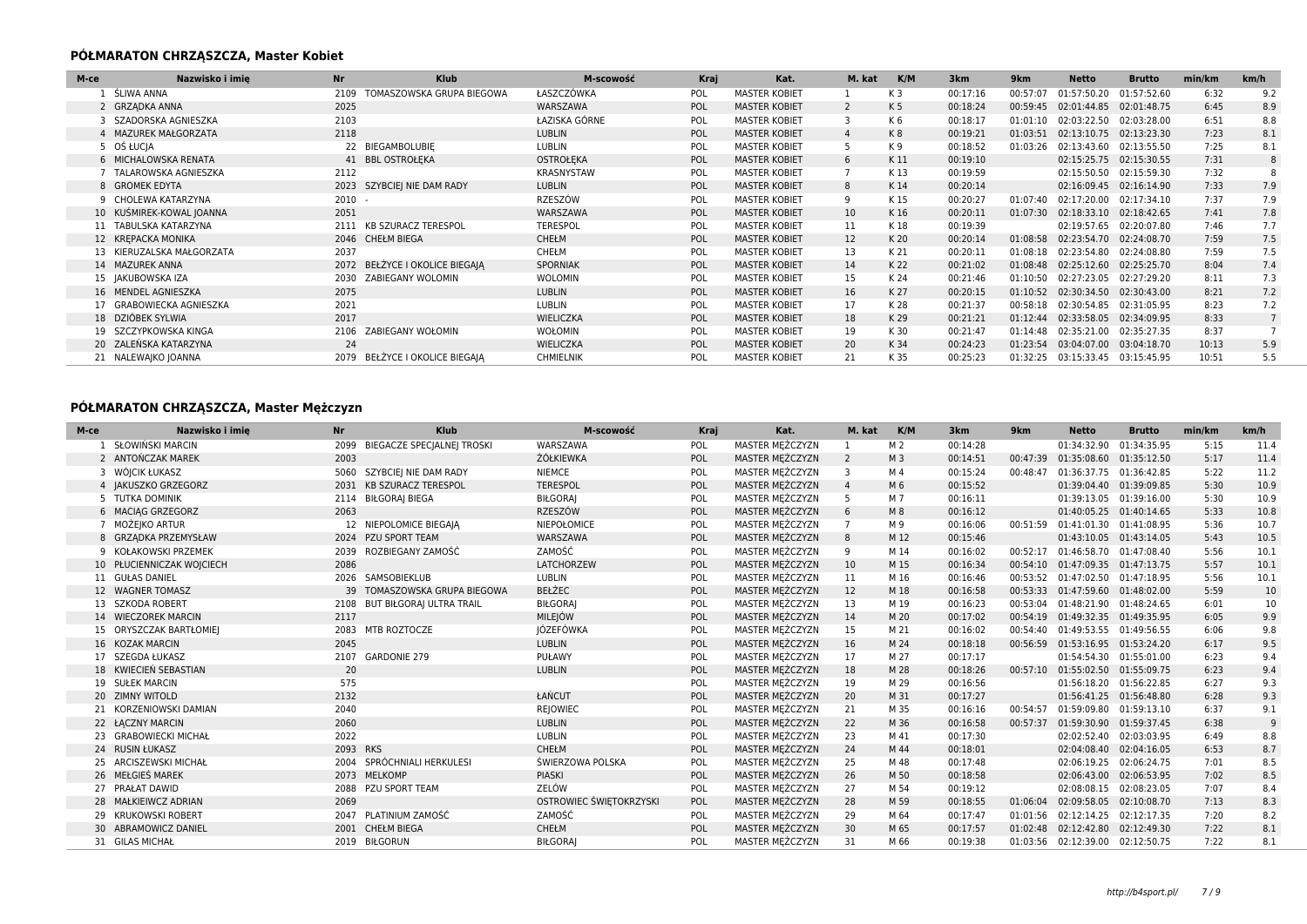#### **PÓŁMARATON CHRZĄSZCZA, Master Kobiet**

| M-ce | Nazwisko i imie           | <b>Nr</b> | Klub                      | M-scowość        | Kraj | Kat.                 | M. kat         | K/M            | 3 <sub>km</sub> | 9 <sub>km</sub> | <b>Netto</b>         | <b>Brutto</b> | min/km | km/h |
|------|---------------------------|-----------|---------------------------|------------------|------|----------------------|----------------|----------------|-----------------|-----------------|----------------------|---------------|--------|------|
|      | ŚLIWA ANNA                | 2109      | TOMASZOWSKA GRUPA BIEGOWA | ŁASZCZÓWKA       | POL  | <b>MASTER KOBIET</b> |                | K <sub>3</sub> | 00:17:16        | 00:57:07        | 01:57:50.20          | 01:57:52.60   | 6:32   | 9.2  |
|      | 2 GRZADKA ANNA            | 2025      |                           | WARSZAWA         | POL  | <b>MASTER KOBIET</b> |                | K 5            | 00:18:24        | 00:59:45        | 02:01:44.85          | 02:01:48.75   | 6:45   | 8.9  |
|      | 3 SZADORSKA AGNIESZKA     | 2103      |                           | ŁAZISKA GÓRNE    | POL  | <b>MASTER KOBIET</b> |                | K 6            | 00:18:17        | 01:01:10        | 02:03:22.50          | 02:03:28.00   | 6:51   | 8.8  |
|      | 4 MAZUREK MAŁGORZATA      | 2118      |                           | <b>LUBLIN</b>    | POL  | <b>MASTER KOBIET</b> | $\overline{4}$ | K <sub>8</sub> | 00:19:21        | 01:03:51        | 02:13:10.75          | 02:13:23.30   | 7:23   | 8.1  |
|      | 5 OŚŁUCJA                 |           | 22 BIEGAMBOLUBIE          | LUBLIN           | POL  | <b>MASTER KOBIET</b> |                | K 9            | 00:18:52        | 01:03:26        | 02:13:43.60          | 02:13:55.50   | 7:25   | 8.1  |
|      | 6 MICHALOWSKA RENATA      |           | 41 BBL OSTROŁEKA          | OSTROŁEKA        | POL  | <b>MASTER KOBIET</b> | 6              | K 11           | 00:19:10        |                 | 02:15:25.75          | 02:15:30.55   | 7:31   | 8    |
|      | TALAROWSKA AGNIESZKA      | 2112      |                           | KRASNYSTAW       | POL  | <b>MASTER KOBIET</b> |                | K 13           | 00:19:59        |                 | 02:15:50.50          | 02:15:59.30   | 7:32   |      |
|      | 8 GROMEK EDYTA            | 2023      | SZYBCIEJ NIE DAM RADY     | <b>LUBLIN</b>    | POL  | <b>MASTER KOBIET</b> | 8              | K14            | 00:20:14        |                 | 02:16:09.45          | 02:16:14.90   | 7:33   | 7.9  |
|      | 9 CHOLEWA KATARZYNA       | $2010 -$  |                           | RZESZÓW          | POL  | <b>MASTER KOBIET</b> | 9              | K 15           | 00:20:27        | 01:07:40        | 02:17:20.00          | 02:17:34.10   | 7:37   | 7.9  |
|      | 10 KUŚMIREK-KOWAL JOANNA  | 2051      |                           | WARSZAWA         | POL  | <b>MASTER KOBIET</b> | 10             | K 16           | 00:20:11        | 01:07:30        | 02:18:33.10          | 02:18:42.65   | 7:41   | 7.8  |
|      | 11 TABULSKA KATARZYNA     |           | 2111 KB SZURACZ TERESPOL  | <b>TERESPOL</b>  | POL  | <b>MASTER KOBIET</b> | 11             | K 18           | 00:19:39        |                 | 02:19:57.65          | 02:20:07.80   | 7:46   | 7.7  |
|      | 12 KREPACKA MONIKA        |           | 2046 CHEŁM BIEGA          | CHEŁM            | POL  | <b>MASTER KOBIET</b> | 12             | K 20           | 00:20:14        | 01:08:58        | 02:23:54.70          | 02:24:08.70   | 7:59   | 7.5  |
|      | 13 KIERUZALSKA MAŁGORZATA | 2037      |                           | CHEŁM            | POL  | <b>MASTER KOBIET</b> | 13             | K 21           | 00:20:11        | 01:08:18        | 02:23:54.80          | 02:24:08.80   | 7:59   | 7.5  |
|      | 14 MAZUREK ANNA           | 2072      | BEŁŻYCE I OKOLICE BIEGAJĄ | SPORNIAK         | POL  | <b>MASTER KOBIET</b> | 14             | K 22           | 00:21:02        |                 | 01:08:48 02:25:12.60 | 02:25:25.70   | 8:04   | 7.4  |
|      | 15 JAKUBOWSKA IZA         | 2030      | ZABIEGANY WOLOMIN         | <b>WOLOMIN</b>   | POL  | <b>MASTER KOBIET</b> | 15             | K 24           | 00:21:46        | 01:10:50        | 02:27:23.05          | 02:27:29.20   | 8:11   | 7.3  |
|      | 16 MENDEL AGNIESZKA       | 2075      |                           | <b>LUBLIN</b>    | POL  | <b>MASTER KOBIET</b> | 16             | K 27           | 00:20:15        | 01:10:52        | 02:30:34.50          | 02:30:43.00   | 8:21   | 7.2  |
|      | GRABOWIECKA AGNIESZKA     | 2021      |                           | LUBLIN           | POL  | <b>MASTER KOBIET</b> | 17             | K 28           | 00:21:37        | 00:58:18        | 02:30:54.85          | 02:31:05.95   | 8:23   | 7.2  |
|      | 18 DZIÓBEK SYLWIA         | 2017      |                           | WIELICZKA        | POL  | <b>MASTER KOBIET</b> | 18             | K 29           | 00:21:21        | 01:12:44        | 02:33:58.05          | 02:34:09.95   | 8:33   |      |
|      | 19 SZCZYPKOWSKA KINGA     |           | 2106 ZABIEGANY WOŁOMIN    | <b>WOŁOMIN</b>   | POL  | <b>MASTER KOBIET</b> | 19             | K 30           | 00:21:47        | 01:14:48        | 02:35:21.00          | 02:35:27.35   | 8:37   |      |
|      | 20 ZALEŃSKA KATARZYNA     | 24        |                           | WIELICZKA        | POL  | <b>MASTER KOBIET</b> | 20             | K 34           | 00:24:23        | 01:23:54        | 03:04:07.00          | 03:04:18.70   | 10:13  | 5.9  |
|      | 21 NALEWAJKO JOANNA       | 2079      | BEŁŻYCE I OKOLICE BIEGAJA | <b>CHMIELNIK</b> | POL  | <b>MASTER KOBIET</b> | 21             | K 35           | 00:25:23        | 01:32:25        | 03:15:33.45          | 03:15:45.95   | 10:51  | 5.5  |

#### **PÓŁMARATON CHRZĄSZCZA, Master Mężczyzn**

| M-ce | Nazwisko i imie           | <b>Nr</b> | Klub                          | M-scowość               | Kraj | Kat.                   | M. kat         | K/M            | 3km      | 9 <sub>km</sub> | <b>Netto</b>                       | <b>Brutto</b> | min/km | km/h         |
|------|---------------------------|-----------|-------------------------------|-------------------------|------|------------------------|----------------|----------------|----------|-----------------|------------------------------------|---------------|--------|--------------|
|      | SŁOWIŃSKI MARCIN          | 2099      | BIEGACZE SPECJALNEJ TROSKI    | WARSZAWA                | POL  | MASTER MEŻCZYZN        |                | M <sub>2</sub> | 00:14:28 |                 | 01:34:32.90                        | 01:34:35.95   | 5:15   | 11.4         |
|      | 2 ANTOŃCZAK MAREK         | 2003      |                               | ŻÓŁKIEWKA               | POL  | MASTER MEŻCZYZN        | 2              | M <sub>3</sub> | 00:14:51 | 00:47:39        | 01:35:08.60                        | 01:35:12.50   | 5:17   | 11.4         |
|      | 3 WÓICIK ŁUKASZ           | 5060      | SZYBCIEI NIE DAM RADY         | <b>NIEMCE</b>           | POL  | MASTER MEŻCZYZN        | 3              | M 4            | 00:15:24 | 00:48:47        | 01:36:37.75 01:36:42.85            |               | 5:22   | 11.2         |
|      | 4 JAKUSZKO GRZEGORZ       | 2031      | <b>KB SZURACZ TERESPOL</b>    | <b>TERESPOL</b>         | POL  | MASTER MEŻCZYZN        | $\overline{4}$ | M 6            | 00:15:52 |                 | 01:39:04.40 01:39:09.85            |               | 5:30   | 10.9         |
|      | 5 TUTKA DOMINIK           |           | 2114 BIŁGORAI BIEGA           | <b>BIŁGORAJ</b>         | POL  | MASTER MEŻCZYZN        | 5              | M 7            | 00:16:11 |                 | 01:39:13.05 01:39:16.00            |               | 5:30   | 10.9         |
|      | 6 MACIAG GRZEGORZ         | 2063      |                               | <b>RZESZÓW</b>          | POL  | MASTER MEŻCZYZN        | 6              | M8             | 00:16:12 |                 | 01:40:05.25 01:40:14.65            |               | 5:33   | 10.8         |
|      | 7 MOŻEJKO ARTUR           |           | 12 NIEPOLOMICE BIEGAJA        | NIEPOŁOMICE             | POL  | MASTER MEŻCZYZN        |                | M 9            | 00:16:06 |                 | 00:51:59  01:41:01.30  01:41:08.95 |               | 5:36   | 10.7         |
|      | 8 GRZADKA PRZEMYSŁAW      |           | 2024 PZU SPORT TEAM           | WARSZAWA                | POL  | MASTER MEŻCZYZN        | 8              | M 12           | 00:15:46 |                 | 01:43:10.05 01:43:14.05            |               | 5:43   | 10.5         |
|      | 9 KOŁAKOWSKI PRZEMEK      | 2039      | ROZBIEGANY ZAMOŚĆ             | ZAMOŚĆ                  | POL  | MASTER MEŻCZYZN        | 9              | M 14           | 00:16:02 | 00:52:17        | 01:46:58.70 01:47:08.40            |               | 5:56   | 10.1         |
|      | 10 PŁUCIENNICZAK WOJCIECH | 2086      |                               | LATCHORZEW              | POL  | MASTER MEŻCZYZN        | 10             | M 15           | 00:16:34 | 00:54:10        | 01:47:09.35 01:47:13.75            |               | 5:57   | 10.1         |
|      | 11 GUŁAS DANIEL           |           | 2026 SAMSOBIEKLUB             | LUBLIN                  | POL  | MASTER MEŻCZYZN        | 11             | M 16           | 00:16:46 |                 | 00:53:52 01:47:02.50 01:47:18.95   |               | 5:56   | 10.1         |
|      | 12 WAGNER TOMASZ          |           | 39 TOMASZOWSKA GRUPA BIEGOWA  | <b>BEŁŻEC</b>           | POL  | MASTER MEZCZYZN        | 12             | M 18           | 00:16:58 | 00:53:33        | 01:47:59.60 01:48:02.00            |               | 5:59   | 10           |
|      | 13 SZKODA ROBERT          |           | 2108 BUT BIŁGORAJ ULTRA TRAIL | <b>BIŁGORAI</b>         | POL  | MASTER MEŻCZYZN        | 13             | M 19           | 00:16:23 | 00:53:04        | 01:48:21.90 01:48:24.65            |               | 6:01   | 10           |
|      | 14 WIECZOREK MARCIN       | 2117      |                               | <b>MILEJÓW</b>          | POL  | MASTER MEŻCZYZN        | 14             | M 20           | 00:17:02 | 00:54:19        | 01:49:32.35 01:49:35.95            |               | 6:05   | 9.9          |
|      | 15 ORYSZCZAK BARTŁOMIEI   |           | 2083 MTB ROZTOCZE             | <b>IÓZEFÓWKA</b>        | POL  | MASTER MEŻCZYZN        | 15             | M 21           | 00:16:02 | 00:54:40        | 01:49:53.55 01:49:56.55            |               | 6:06   | 9.8          |
|      | 16 KOZAK MARCIN           | 2045      |                               | LUBLIN                  | POL  | <b>MASTER MEŻCZYZN</b> | 16             | M 24           | 00:18:18 |                 | 00:56:59 01:53:16.95 01:53:24.20   |               | 6:17   | 9.5          |
|      | SZEGDA ŁUKASZ             |           | 2107 GARDONIE 279             | PUŁAWY                  | POL  | MASTER MEŻCZYZN        | 17             | M 27           | 00:17:17 |                 | 01:54:54.30 01:55:01.00            |               | 6:23   | 9.4          |
|      | 18 KWIECIEŃ SEBASTIAN     | 20        |                               | <b>LUBLIN</b>           | POL  | MASTER MEŻCZYZN        | 18             | M 28           | 00:18:26 | 00:57:10        | 01:55:02.50 01:55:09.75            |               | 6:23   | 9.4          |
|      | 19 SUŁEK MARCIN           | 575       |                               |                         | POL  | MASTER MEŻCZYZN        | 19             | M 29           | 00:16:56 |                 | 01:56:18.20 01:56:22.85            |               | 6:27   | 9.3          |
|      | 20 ZIMNY WITOLD           | 2132      |                               | ŁAŃCUT                  | POL  | MASTER MEŻCZYZN        | 20             | M 31           | 00:17:27 |                 | 01:56:41.25 01:56:48.80            |               | 6:28   | 9.3          |
|      | 21 KORZENIOWSKI DAMIAN    | 2040      |                               | <b>REJOWIEC</b>         | POL  | MASTER MEŻCZYZN        | 21             | M 35           | 00:16:16 | 00:54:57        | 01:59:09.80                        | 01:59:13.10   | 6:37   | 9.1          |
|      | 22 ŁACZNY MARCIN          | 2060      |                               | <b>LUBLIN</b>           | POL  | MASTER MEŻCZYZN        | 22             | M 36           | 00:16:58 | 00:57:37        | 01:59:30.90 01:59:37.45            |               | 6:38   | $\mathsf{q}$ |
|      | 23 GRABOWIECKI MICHAŁ     | 2022      |                               | LUBLIN                  | POL  | MASTER MEŻCZYZN        | 23             | M 41           | 00:17:30 |                 | 02:02:52.40 02:03:03.95            |               | 6:49   | 8.8          |
|      | 24 RUSIN ŁUKASZ           | 2093 RKS  |                               | CHEŁM                   | POL  | MASTER MEŻCZYZN        | 24             | M 44           | 00:18:01 |                 | 02:04:08.40 02:04:16.05            |               | 6:53   | 8.7          |
|      | 25 ARCISZEWSKI MICHAŁ     | 2004      | SPRÓCHNIALI HERKULESI         | ŚWIERZOWA POLSKA        | POL  | MASTER MEŻCZYZN        | 25             | M 48           | 00:17:48 |                 | 02:06:19.25 02:06:24.75            |               | 7:01   | 8.5          |
|      | 26 MEŁGIEŚ MAREK          |           | 2073 MELKOMP                  | <b>PIASKI</b>           | POL  | MASTER MEŻCZYZN        | 26             | M 50           | 00:18:58 |                 | 02:06:43.00 02:06:53.95            |               | 7:02   | 8.5          |
|      | PRAŁAT DAWID              | 2088      | PZU SPORT TEAM                | ZELÓW                   | POL  | MASTER MEŻCZYZN        | 27             | M 54           | 00:19:12 |                 | 02:08:08.15                        | 02:08:23.05   | 7:07   | 8.4          |
|      | 28 MAŁKIEIWCZ ADRIAN      | 2069      |                               | OSTROWIEC ŚWIETOKRZYSKI | POL  | MASTER MEŻCZYZN        | 28             | M 59           | 00:18:55 | 01:06:04        | 02:09:58.05 02:10:08.70            |               | 7:13   | 8.3          |
|      | 29 KRUKOWSKI ROBERT       |           | 2047 PLATINIUM ZAMOŚĆ         | ZAMOŚĆ                  | POL  | MASTER MEŻCZYZN        | 29             | M 64           | 00:17:47 | 01:01:56        | 02:12:14.25 02:12:17.35            |               | 7:20   | 8.2          |
|      | 30 ABRAMOWICZ DANIEL      |           | 2001 CHEŁM BIEGA              | CHEŁM                   | POL  | MASTER MEŻCZYZN        | 30             | M 65           | 00:17:57 | 01:02:48        | 02:12:42.80                        | 02:12:49.30   | 7:22   | 8.1          |
|      | 31 GILAS MICHAŁ           |           | 2019 BIŁGORUN                 | <b>BIŁGORAI</b>         | POL  | MASTER MEŻCZYZN        | 31             | M 66           | 00:19:38 |                 | 01:03:56 02:12:39.00 02:12:50.75   |               | 7:22   | 8.1          |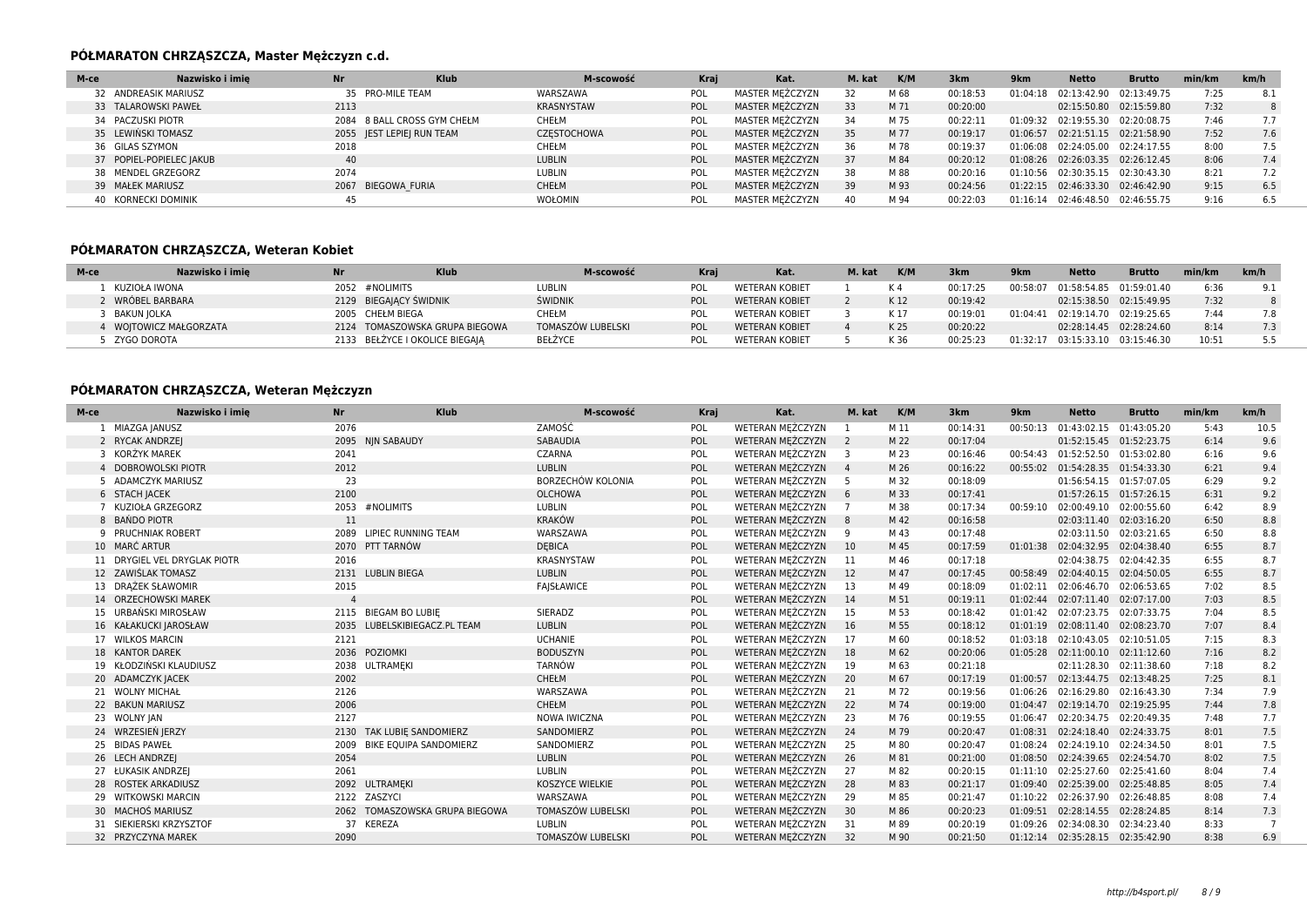## **PÓŁMARATON CHRZĄSZCZA, Master Mężczyzn c.d.**

| M-ce | Nazwisko i imie          | <b>Nr</b> | <b>Klub</b>                 | M-scowość          | <b>Kraj</b> | Kat.            | M. kat | K/M  | 3km      | 9km      | <b>Netto</b>                     | <b>Brutto</b> | min/km | km/h |
|------|--------------------------|-----------|-----------------------------|--------------------|-------------|-----------------|--------|------|----------|----------|----------------------------------|---------------|--------|------|
|      | 32 ANDREASIK MARIUSZ     |           | 35 PRO-MILE TEAM            | WARSZAWA           | POL         | MASTER MEŻCZYZN | 32     | M 68 | 00:18:53 | 01:04:18 | 02:13:42.90                      | 02:13:49.75   | 7:25   | 8.1  |
|      | 33 TALAROWSKI PAWEŁ      | 2113      |                             | KRASNYSTAW         | POL         | MASTER MEŻCZYZN | 33     | M 71 | 00:20:00 |          | 02:15:50.80 02:15:59.80          |               | 7:32   |      |
|      | 34 PACZUSKI PIOTR        |           | 2084 8 BALL CROSS GYM CHEŁM | CHEŁM              | POL         | MASTER MEŻCZYZN | 34     | M 75 | 00:22:11 | 01:09:32 | 02:19:55.30                      | 02:20:08.75   | 7:46   |      |
|      | 35 LEWINSKI TOMASZ       |           | 2055 JEST LEPIEJ RUN TEAM   | <b>CZESTOCHOWA</b> | POL         | MASTER MEŻCZYZN | 35     | M 77 | 00:19:17 | 01:06:57 | 02:21:51.15 02:21:58.90          |               | 7:52   | 7.6  |
|      | 36 GILAS SZYMON          | 2018      |                             | CHEŁM              | POL         | MASTER MEŻCZYZN | 36     | M 78 | 00:19:37 | 01:06:08 | 02:24:05.00                      | 02:24:17.55   | 8:00   | 7.5  |
|      | 37 POPIEL-POPIELEC JAKUB | 40        |                             | <b>LUBLIN</b>      | POL         | MASTER MEŻCZYZN | 37     | M 84 | 00:20:12 |          | 01:08:26 02:26:03.35 02:26:12.45 |               | 8:06   | 7.4  |
|      | 38 MENDEL GRZEGORZ       | 2074      |                             | <b>LUBLIN</b>      | POL         | MASTER MEŻCZYZN | 38     | M 88 | 00:20:16 | 01:10:56 | 02:30:35.15 02:30:43.30          |               | 8:21   | 7.2  |
|      | 39 MAŁEK MARIUSZ         |           | 2067 BIEGOWA FURIA          | <b>CHEŁM</b>       | POL         | MASTER MEŻCZYZN | 39     | M 93 | 00:24:56 | 01:22:15 | 02:46:33.30 02:46:42.90          |               | 9:15   | 6.5  |
|      | 40 KORNECKI DOMINIK      |           |                             | <b>WOŁOMIN</b>     | POL         | MASTER MEŻCZYZN |        | M 94 | 00:22:03 | 01:16:14 | 02:46:48.50                      | 02:46:55.75   | 9:16   | 6.5  |

## **PÓŁMARATON CHRZĄSZCZA, Weteran Kobiet**

| M-ce | Nazwisko i imie      | <b>Klub</b>                    | M-scowość         | <b>Krai</b> | Kat.                  | M. kat | K/M | 3 <sub>km</sub> | 9 <sub>km</sub> | <b>Netto</b> | <b>Brutto</b>           | min/km | km/h |
|------|----------------------|--------------------------------|-------------------|-------------|-----------------------|--------|-----|-----------------|-----------------|--------------|-------------------------|--------|------|
|      | KUZIOŁA IWONA        | 2052 #NOLIMITS                 | LUBLIN            | PO          | <b>WETERAN KOBIET</b> |        |     | 00:17:25        | 00:58:07        |              | 01:58:54.85 01:59:01.40 | 6:36   |      |
|      | WRÓBEL BARBARA       | 2129 BIEGAJACY ŚWIDNIK         | <b>ŚWIDNIK</b>    | POL         | <b>WETERAN KOBIET</b> |        | K12 | 00:19:42        |                 | 02:15:38.50  | 02:15:49.95             | 7:32   |      |
|      | BAKUN IOLKA          | 2005 CHEŁM BIEGA               | CHEŁM             | PO          | <b>WETERAN KOBIET</b> |        |     | 00:19:01        | 01.04.41        |              | 02:19:14.70 02:19:25.65 | 7:44   |      |
|      | WOITOWICZ MAŁGORZATA | 2124 TOMASZOWSKA GRUPA BIEGOWA | TOMASZÓW LUBELSKI | POL         | <b>WETERAN KOBIET</b> |        |     | 00:20:22        |                 |              | 02:28:14.45 02:28:24.60 | 8:14   |      |
|      | ZYGO DOROTA          | 2133 BEŁŻYCE I OKOLICE BIEGAIA | BEŁŻYCE           | PO          | <b>WETERAN KOBIET</b> |        |     | 00:25:23        | 01.32.17        |              | 03:15:33.10 03:15:46.30 | 10:51  |      |

## **PÓŁMARATON CHRZĄSZCZA, Weteran Mężczyzn**

| M-ce         | Nazwisko i imie              | <b>Nr</b> | <b>Klub</b>                   | M-scowość                | <b>Kraj</b> | Kat.               | M. kat       | K/M  | 3km      | 9km      | <b>Netto</b>                     | <b>Brutto</b> | min/km | km/h           |
|--------------|------------------------------|-----------|-------------------------------|--------------------------|-------------|--------------------|--------------|------|----------|----------|----------------------------------|---------------|--------|----------------|
|              | MIAZGA JANUSZ                | 2076      |                               | ZAMOŚĆ                   | POL         | WETERAN MEŻCZYZN   |              | M 11 | 00:14:31 | 00:50:13 | 01:43:02.15                      | 01:43:05.20   | 5:43   | 10.5           |
|              | 2 RYCAK ANDRZEI              |           | 2095 NJN SABAUDY              | <b>SABAUDIA</b>          | POL         | WETERAN MEŻCZYZN   | <sup>2</sup> | M 22 | 00:17:04 |          | 01:52:15.45 01:52:23.75          |               | 6:14   | 9.6            |
|              | 3 KORŻYK MAREK               | 2041      |                               | <b>CZARNA</b>            | POL         | WETERAN MEŻCZYZN   | -3           | M 23 | 00:16:46 | 00:54:43 | 01:52:52.50 01:53:02.80          |               | 6:16   | 9.6            |
|              | 4 DOBROWOLSKI PIOTR          | 2012      |                               | <b>LUBLIN</b>            | POL         | WETERAN MEŻCZYZN 4 |              | M 26 | 00:16:22 | 00:55:02 | 01:54:28.35 01:54:33.30          |               | 6:21   | 9.4            |
|              | 5 ADAMCZYK MARIUSZ           | 23        |                               | BORZECHÓW KOLONIA        | POL         | WETERAN MEŻCZYZN   | - 5          | M 32 | 00:18:09 |          | 01:56:54.15 01:57:07.05          |               | 6:29   | 9.2            |
|              | 6 STACH JACEK                | 2100      |                               | <b>OLCHOWA</b>           | POL         | WETERAN MEŻCZYZN   | - 6          | M 33 | 00:17:41 |          | 01:57:26.15 01:57:26.15          |               | 6:31   | 9.2            |
|              | 7 KUZIOŁA GRZEGORZ           |           | 2053 #NOLIMITS                | LUBLIN                   | POL         | WETERAN MEŻCZYZN   |              | M 38 | 00:17:34 | 00:59:10 | 02:00:49.10                      | 02:00:55.60   | 6:42   | 8.9            |
|              | 8 BANDO PIOTR                | 11        |                               | <b>KRAKÓW</b>            | POL         | WETERAN MEŻCZYZN 8 |              | M 42 | 00:16:58 |          | 02:03:11.40 02:03:16.20          |               | 6:50   | 8.8            |
|              | 9 PRUCHNIAK ROBERT           | 2089      | LIPIEC RUNNING TEAM           | WARSZAWA                 | POL         | WETERAN MEŻCZYZN   | -9           | M 43 | 00:17:48 |          | 02:03:11.50                      | 02:03:21.65   | 6:50   | 8.8            |
|              | 10 MARĆ ARTUR                |           | 2070 PTT TARNÓW               | <b>DEBICA</b>            | POL         | WETERAN MEŻCZYZN   | 10           | M 45 | 00:17:59 |          | 01:01:38 02:04:32.95             | 02:04:38.40   | 6:55   | 8.7            |
|              | 11 DRYGIEL VEL DRYGLAK PIOTR | 2016      |                               | <b>KRASNYSTAW</b>        | POL         | WETERAN MEŻCZYZN   | 11           | M 46 | 00:17:18 |          | 02:04:38.75 02:04:42.35          |               | 6:55   | 8.7            |
|              | 12 ZAWIŚLAK TOMASZ           |           | 2131 LUBLIN BIEGA             | <b>LUBLIN</b>            | POL         | WETERAN MEŻCZYZN   | 12           | M 47 | 00:17:45 |          | 00:58:49 02:04:40.15 02:04:50.05 |               | 6:55   | 8.7            |
|              | 13 DRAŻEK SŁAWOMIR           | 2015      |                               | <b>FAISŁAWICE</b>        | POL         | WETERAN MEŻCZYZN   | 13           | M 49 | 00:18:09 | 01:02:11 | 02:06:46.70                      | 02:06:53.65   | 7:02   | 8.5            |
|              | 14 ORZECHOWSKI MAREK         |           |                               |                          | POL         | WETERAN MEŻCZYZN   | 14           | M 51 | 00:19:11 | 01:02:44 | 02:07:11.40                      | 02:07:17.00   | 7:03   | 8.5            |
|              | 15 URBAŃSKI MIROSŁAW         |           | 2115 BIEGAM BO LUBIE          | SIERADZ                  | POL         | WETERAN MEŻCZYZN   | 15           | M 53 | 00:18:42 |          | 01:01:42 02:07:23.75 02:07:33.75 |               | 7:04   | 8.5            |
|              | 16 KAŁAKUCKI JAROSŁAW        |           | 2035 LUBELSKIBIEGACZ.PL TEAM  | <b>LUBLIN</b>            | POL         | WETERAN MEŻCZYZN   | 16           | M 55 | 00:18:12 |          | 01:01:19 02:08:11.40 02:08:23.70 |               | 7:07   | 8.4            |
|              | 17 WILKOS MARCIN             | 2121      |                               | <b>UCHANIE</b>           | POL         | WETERAN MEŻCZYZN   | 17           | M 60 | 00:18:52 | 01:03:18 | 02:10:43.05                      | 02:10:51.05   | 7:15   | 8.3            |
|              | 18 KANTOR DAREK              |           | 2036 POZIOMKI                 | <b>BODUSZYN</b>          | POL         | WETERAN MEŻCZYZN   | 18           | M 62 | 00:20:06 |          | 01:05:28 02:11:00.10             | 02:11:12.60   | 7:16   | 8.2            |
|              | 19 KŁODZIŃSKI KLAUDIUSZ      |           | 2038 ULTRAMEKI                | <b>TARNÓW</b>            | POL         | WETERAN MEŻCZYZN   | 19           | M 63 | 00:21:18 |          | 02:11:28.30                      | 02:11:38.60   | 7:18   | 8.2            |
|              | 20 ADAMCZYK JACEK            | 2002      |                               | CHEŁM                    | POL         | WETERAN MEŻCZYZN   | 20           | M 67 | 00:17:19 | 01:00:57 | 02:13:44.75 02:13:48.25          |               | 7:25   | 8.1            |
|              | 21 WOLNY MICHAŁ              | 2126      |                               | WARSZAWA                 | POL         | WETERAN MEŻCZYZN   | 21           | M 72 | 00:19:56 | 01:06:26 | 02:16:29.80                      | 02:16:43.30   | 7:34   | 7.9            |
|              | 22 BAKUN MARIUSZ             | 2006      |                               | CHEŁM                    | POL         | WETERAN MEŻCZYZN   | 22           | M 74 | 00:19:00 | 01:04:47 | 02:19:14.70                      | 02:19:25.95   | 7:44   | 7.8            |
| 23 WOLNY JAN |                              | 2127      |                               | <b>NOWA IWICZNA</b>      | <b>POL</b>  | WETERAN MEŻCZYZN   | 23           | M 76 | 00:19:55 | 01:06:47 | 02:20:34.75 02:20:49.35          |               | 7:48   | 7.7            |
|              | 24 WRZESIEŃ IERZY            | 2130      | TAK LUBIE SANDOMIERZ          | SANDOMIERZ               | POL         | WETERAN MEŻCZYZN   | 24           | M 79 | 00:20:47 |          | 01:08:31 02:24:18.40 02:24:33.75 |               | 8:01   | 7.5            |
|              | 25 BIDAS PAWEŁ               | 2009      | <b>BIKE EQUIPA SANDOMIERZ</b> | SANDOMIERZ               | POL         | WETERAN MEŻCZYZN   | 25           | M 80 | 00:20:47 |          | 01:08:24 02:24:19.10 02:24:34.50 |               | 8:01   | 7.5            |
|              | 26 LECH ANDRZEI              | 2054      |                               | <b>LUBLIN</b>            | POL         | WETERAN MEŻCZYZN   | 26           | M 81 | 00:21:00 | 01:08:50 | 02:24:39.65 02:24:54.70          |               | 8:02   | 7.5            |
|              | 27 ŁUKASIK ANDRZEJ           | 2061      |                               | LUBLIN                   | POL         | WETERAN MEŻCZYZN   | 27           | M 82 | 00:20:15 | 01:11:10 | 02:25:27.60                      | 02:25:41.60   | 8:04   | 7.4            |
|              | 28 ROSTEK ARKADIUSZ          |           | 2092 ULTRAMEKI                | KOSZYCE WIELKIE          | POL         | WETERAN MEŻCZYZN   | 28           | M 83 | 00:21:17 | 01:09:40 | 02:25:39.00                      | 02:25:48.85   | 8:05   | 7.4            |
|              | 29 WITKOWSKI MARCIN          |           | 2122 ZASZYCI                  | WARSZAWA                 | POL         | WETERAN MEŻCZYZN   | 29           | M 85 | 00:21:47 | 01:10:22 | 02:26:37.90                      | 02:26:48.85   | 8:08   | 7.4            |
|              | 30 MACHOŚ MARIUSZ            | 2062      | TOMASZOWSKA GRUPA BIEGOWA     | TOMASZÓW LUBELSKI        | POL         | WETERAN MEŻCZYZN   | 30           | M 86 | 00:20:23 |          | 01:09:51 02:28:14.55             | 02:28:24.85   | 8:14   | 7.3            |
|              | 31 SIEKIERSKI KRZYSZTOF      | 37        | KEREZA                        | LUBLIN                   | POL         | WETERAN MEŻCZYZN   | 31           | M 89 | 00:20:19 |          | 01:09:26 02:34:08.30             | 02:34:23.40   | 8:33   | $\overline{7}$ |
|              | 32 PRZYCZYNA MAREK           | 2090      |                               | <b>TOMASZÓW LUBELSKI</b> | POL         | WETERAN MEŻCZYZN   | 32           | M 90 | 00:21:50 |          | 01:12:14 02:35:28.15 02:35:42.90 |               | 8:38   | 6.9            |